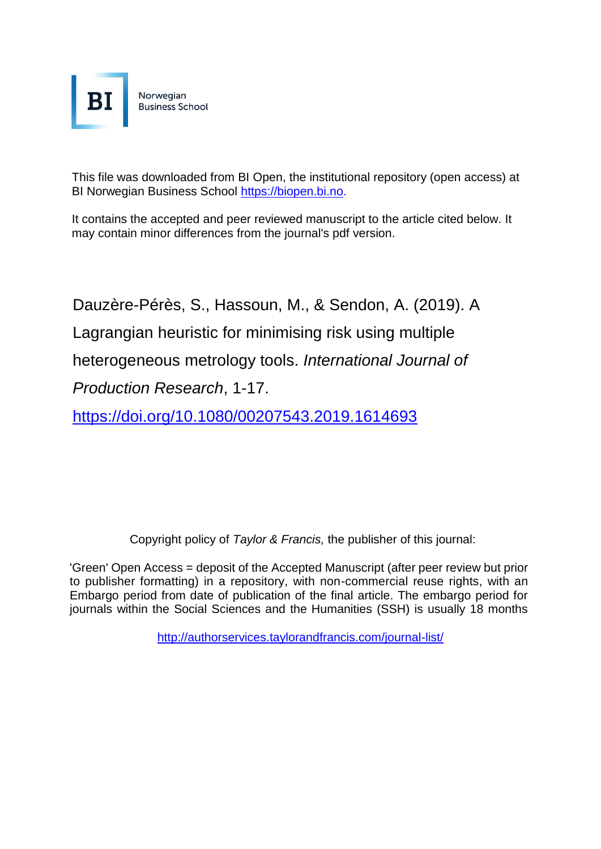

This file was downloaded from BI Open, the institutional repository (open access) at BI Norwegian Business School https://biopen.bi.no.

It contains the accepted and peer reviewed manuscript to the article cited below. It may contain minor differences from the journal's pdf version.

Dauzère-Pérès, S., Hassoun, M., & Sendon, A. (2019). A Lagrangian heuristic for minimising risk using multiple heterogeneous metrology tools. *International Journal of Production Research*, 1-17. <https://doi.org/10.1080/00207543.2019.1614693>

Copyright policy of *Taylor & Francis,* the publisher of this journal:

'Green' Open Access = deposit of the Accepted Manuscript (after peer review but prior to publisher formatting) in a repository, with non-commercial reuse rights, with an Embargo period from date of publication of the final article. The embargo period for journals within the Social Sciences and the Humanities (SSH) is usually 18 months

<http://authorservices.taylorandfrancis.com/journal-list/>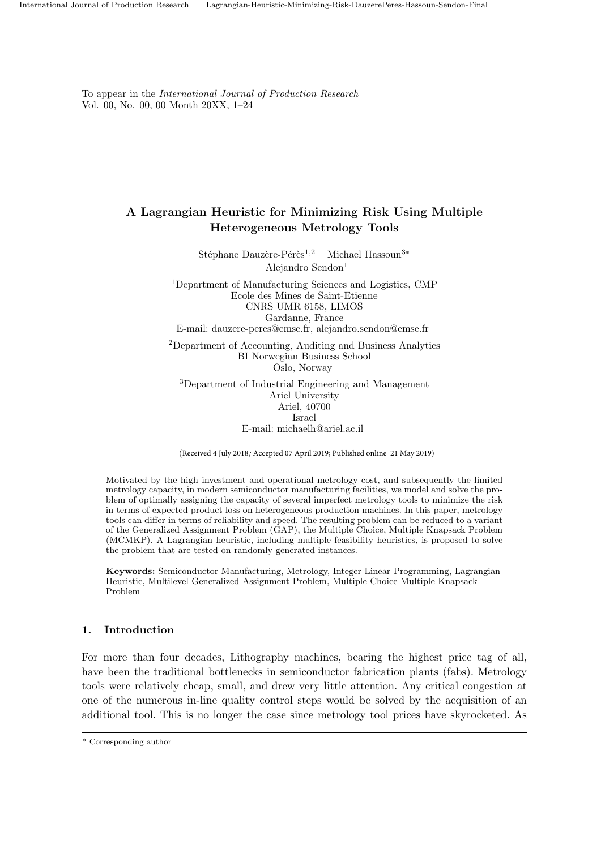To appear in the International Journal of Production Research Vol. 00, No. 00, 00 Month 20XX, 1–24

# A Lagrangian Heuristic for Minimizing Risk Using Multiple Heterogeneous Metrology Tools

Stéphane Dauzère-Pérès<sup>1,2</sup> Michael Hassoun<sup>3∗</sup> Alejandro Sendon<sup>1</sup>

<sup>1</sup>Department of Manufacturing Sciences and Logistics, CMP Ecole des Mines de Saint-Etienne CNRS UMR 6158, LIMOS Gardanne, France E-mail: dauzere-peres@emse.fr, alejandro.sendon@emse.fr

<sup>2</sup>Department of Accounting, Auditing and Business Analytics BI Norwegian Business School Oslo, Norway

<sup>3</sup>Department of Industrial Engineering and Management Ariel University Ariel, 40700 Israel E-mail: michaelh@ariel.ac.il

(Received 4 July 2018; Accepted 07 April 2019; Published online 21 May 2019)

Motivated by the high investment and operational metrology cost, and subsequently the limited metrology capacity, in modern semiconductor manufacturing facilities, we model and solve the problem of optimally assigning the capacity of several imperfect metrology tools to minimize the risk in terms of expected product loss on heterogeneous production machines. In this paper, metrology tools can differ in terms of reliability and speed. The resulting problem can be reduced to a variant of the Generalized Assignment Problem (GAP), the Multiple Choice, Multiple Knapsack Problem (MCMKP). A Lagrangian heuristic, including multiple feasibility heuristics, is proposed to solve the problem that are tested on randomly generated instances.

Keywords: Semiconductor Manufacturing, Metrology, Integer Linear Programming, Lagrangian Heuristic, Multilevel Generalized Assignment Problem, Multiple Choice Multiple Knapsack Problem

#### 1. Introduction

For more than four decades, Lithography machines, bearing the highest price tag of all, have been the traditional bottlenecks in semiconductor fabrication plants (fabs). Metrology tools were relatively cheap, small, and drew very little attention. Any critical congestion at one of the numerous in-line quality control steps would be solved by the acquisition of an additional tool. This is no longer the case since metrology tool prices have skyrocketed. As

<sup>\*</sup> Corresponding author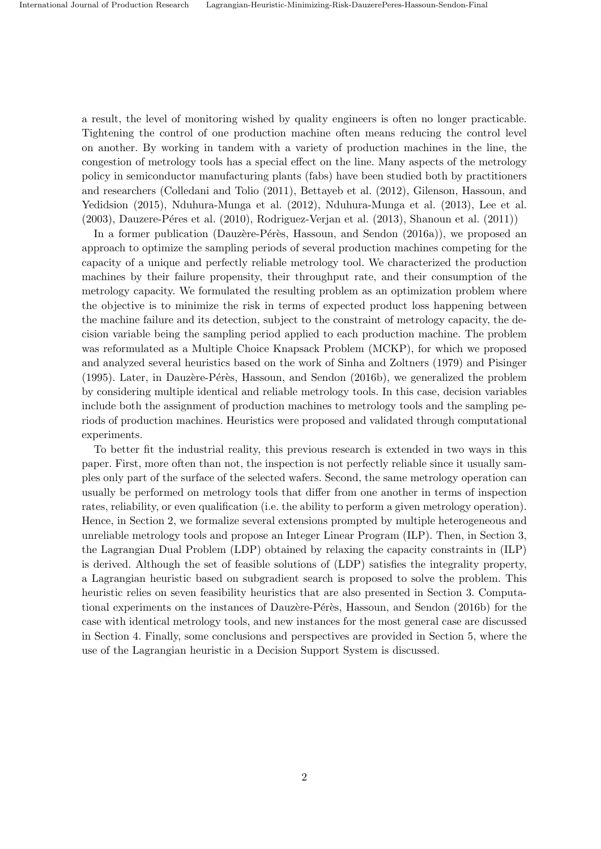a result, the level of monitoring wished by quality engineers is often no longer practicable. Tightening the control of one production machine often means reducing the control level on another. By working in tandem with a variety of production machines in the line, the congestion of metrology tools has a special effect on the line. Many aspects of the metrology policy in semiconductor manufacturing plants (fabs) have been studied both by practitioners and researchers (Colledani and Tolio (2011), Bettayeb et al. (2012), Gilenson, Hassoun, and Yedidsion (2015), Nduhura-Munga et al. (2012), Nduhura-Munga et al. (2013), Lee et al.  $(2003)$ , Dauzere-Péres et al.  $(2010)$ , Rodriguez-Verjan et al.  $(2013)$ , Shanoun et al.  $(2011)$ )

In a former publication (Dauzère-Pérès, Hassoun, and Sendon  $(2016a)$ ), we proposed an approach to optimize the sampling periods of several production machines competing for the capacity of a unique and perfectly reliable metrology tool. We characterized the production machines by their failure propensity, their throughput rate, and their consumption of the metrology capacity. We formulated the resulting problem as an optimization problem where the objective is to minimize the risk in terms of expected product loss happening between the machine failure and its detection, subject to the constraint of metrology capacity, the decision variable being the sampling period applied to each production machine. The problem was reformulated as a Multiple Choice Knapsack Problem (MCKP), for which we proposed and analyzed several heuristics based on the work of Sinha and Zoltners (1979) and Pisinger  $(1995)$ . Later, in Dauzère-Pérès, Hassoun, and Sendon  $(2016b)$ , we generalized the problem by considering multiple identical and reliable metrology tools. In this case, decision variables include both the assignment of production machines to metrology tools and the sampling periods of production machines. Heuristics were proposed and validated through computational experiments.

To better fit the industrial reality, this previous research is extended in two ways in this paper. First, more often than not, the inspection is not perfectly reliable since it usually samples only part of the surface of the selected wafers. Second, the same metrology operation can usually be performed on metrology tools that differ from one another in terms of inspection rates, reliability, or even qualification (i.e. the ability to perform a given metrology operation). Hence, in Section 2, we formalize several extensions prompted by multiple heterogeneous and unreliable metrology tools and propose an Integer Linear Program (ILP). Then, in Section 3, the Lagrangian Dual Problem (LDP) obtained by relaxing the capacity constraints in (ILP) is derived. Although the set of feasible solutions of (LDP) satisfies the integrality property, a Lagrangian heuristic based on subgradient search is proposed to solve the problem. This heuristic relies on seven feasibility heuristics that are also presented in Section 3. Computational experiments on the instances of Dauzère-Pérès, Hassoun, and Sendon (2016b) for the case with identical metrology tools, and new instances for the most general case are discussed in Section 4. Finally, some conclusions and perspectives are provided in Section 5, where the use of the Lagrangian heuristic in a Decision Support System is discussed.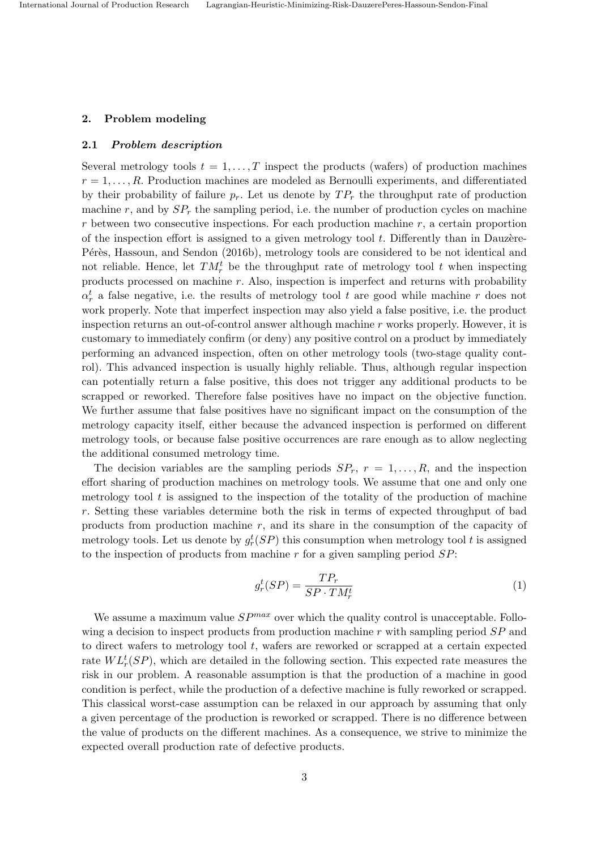### 2. Problem modeling

#### 2.1 Problem description

Several metrology tools  $t = 1, \ldots, T$  inspect the products (wafers) of production machines  $r = 1, \ldots, R$ . Production machines are modeled as Bernoulli experiments, and differentiated by their probability of failure  $p_r$ . Let us denote by  $TP_r$  the throughput rate of production machine r, and by  $SP<sub>r</sub>$  the sampling period, i.e. the number of production cycles on machine  $r$  between two consecutive inspections. For each production machine  $r$ , a certain proportion of the inspection effort is assigned to a given metrology tool  $t$ . Differently than in Dauzère-Pérès, Hassoun, and Sendon (2016b), metrology tools are considered to be not identical and not reliable. Hence, let  $TM_r^t$  be the throughput rate of metrology tool t when inspecting products processed on machine  $r$ . Also, inspection is imperfect and returns with probability  $\alpha_r^t$  a false negative, i.e. the results of metrology tool t are good while machine r does not work properly. Note that imperfect inspection may also yield a false positive, i.e. the product inspection returns an out-of-control answer although machine r works properly. However, it is customary to immediately confirm (or deny) any positive control on a product by immediately performing an advanced inspection, often on other metrology tools (two-stage quality control). This advanced inspection is usually highly reliable. Thus, although regular inspection can potentially return a false positive, this does not trigger any additional products to be scrapped or reworked. Therefore false positives have no impact on the objective function. We further assume that false positives have no significant impact on the consumption of the metrology capacity itself, either because the advanced inspection is performed on different metrology tools, or because false positive occurrences are rare enough as to allow neglecting the additional consumed metrology time.

The decision variables are the sampling periods  $SP_r$ ,  $r = 1, \ldots, R$ , and the inspection effort sharing of production machines on metrology tools. We assume that one and only one metrology tool  $t$  is assigned to the inspection of the totality of the production of machine r. Setting these variables determine both the risk in terms of expected throughput of bad products from production machine  $r$ , and its share in the consumption of the capacity of metrology tools. Let us denote by  $g_r^t(SP)$  this consumption when metrology tool t is assigned to the inspection of products from machine r for a given sampling period  $SP$ :

$$
g_r^t (SP) = \frac{TP_r}{SP \cdot TM_r^t} \tag{1}
$$

We assume a maximum value  $SP^{max}$  over which the quality control is unacceptable. Following a decision to inspect products from production machine  $r$  with sampling period  $SP$  and to direct wafers to metrology tool  $t$ , wafers are reworked or scrapped at a certain expected rate  $WL_r^t(SP)$ , which are detailed in the following section. This expected rate measures the risk in our problem. A reasonable assumption is that the production of a machine in good condition is perfect, while the production of a defective machine is fully reworked or scrapped. This classical worst-case assumption can be relaxed in our approach by assuming that only a given percentage of the production is reworked or scrapped. There is no difference between the value of products on the different machines. As a consequence, we strive to minimize the expected overall production rate of defective products.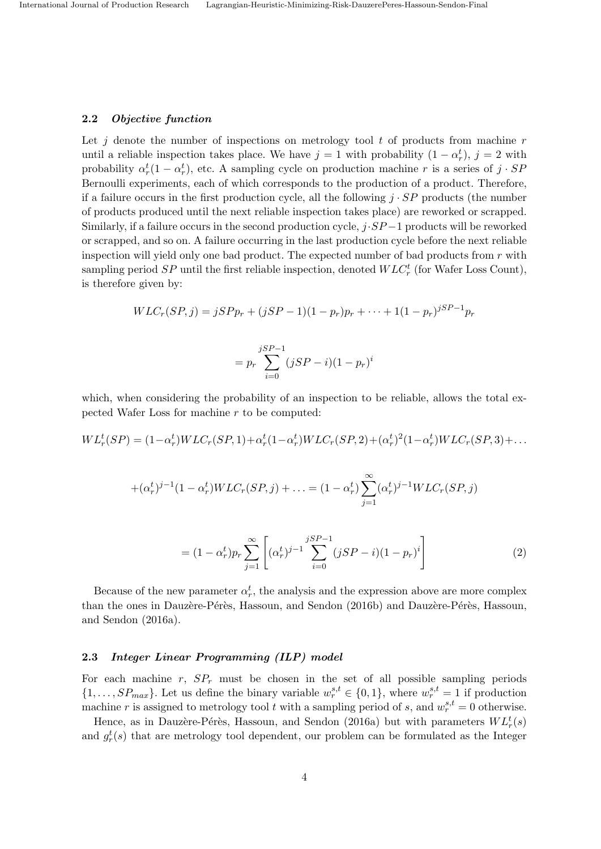### 2.2 Objective function

Let j denote the number of inspections on metrology tool t of products from machine  $r$ until a reliable inspection takes place. We have  $j = 1$  with probability  $(1 - \alpha_r^t)$ ,  $j = 2$  with probability  $\alpha_r^t(1-\alpha_r^t)$ , etc. A sampling cycle on production machine r is a series of  $j \cdot SF$ Bernoulli experiments, each of which corresponds to the production of a product. Therefore, if a failure occurs in the first production cycle, all the following  $j \cdot SP$  products (the number of products produced until the next reliable inspection takes place) are reworked or scrapped. Similarly, if a failure occurs in the second production cycle,  $j \cdot SP - 1$  products will be reworked or scrapped, and so on. A failure occurring in the last production cycle before the next reliable inspection will yield only one bad product. The expected number of bad products from  $r$  with sampling period  $SP$  until the first reliable inspection, denoted  $WLC_r^t$  (for Wafer Loss Count), is therefore given by:

$$
WLC_r(SP, j) = jSPp_r + (jSP - 1)(1 - p_r)p_r + \dots + 1(1 - p_r)^{jSP - 1}p_r
$$

$$
= p_r \sum_{i=0}^{jSP-1} (jSP - i)(1 - p_r)^i
$$

which, when considering the probability of an inspection to be reliable, allows the total expected Wafer Loss for machine r to be computed:

$$
WL_r^t (SP) = (1 - \alpha_r^t) W LC_r (SP, 1) + \alpha_r^t (1 - \alpha_r^t) W LC_r (SP, 2) + (\alpha_r^t)^2 (1 - \alpha_r^t) W LC_r (SP, 3) + \dots
$$

$$
+(\alpha_r^t)^{j-1}(1-\alpha_r^t)WLC_r(SP,j)+\ldots=(1-\alpha_r^t)\sum_{j=1}^{\infty}(\alpha_r^t)^{j-1}WLC_r(SP,j)
$$

$$
= (1 - \alpha_r^t) p_r \sum_{j=1}^{\infty} \left[ (\alpha_r^t)^{j-1} \sum_{i=0}^{jSP-1} (jSP - i)(1 - p_r)^i \right]
$$
 (2)

Because of the new parameter  $\alpha_r^t$ , the analysis and the expression above are more complex than the ones in Dauzère-Pérès, Hassoun, and Sendon (2016b) and Dauzère-Pérès, Hassoun, and Sendon (2016a).

## 2.3 Integer Linear Programming (ILP) model

For each machine r,  $SP<sub>r</sub>$  must be chosen in the set of all possible sampling periods  $\{1,\ldots, SP_{max}\}.$  Let us define the binary variable  $w_r^{s,t} \in \{0,1\}$ , where  $w_r^{s,t} = 1$  if production machine r is assigned to metrology tool t with a sampling period of s, and  $w_r^{s,t} = 0$  otherwise.

Hence, as in Dauzère-Pérès, Hassoun, and Sendon (2016a) but with parameters  $WL_r^t(s)$ and  $g_r^t(s)$  that are metrology tool dependent, our problem can be formulated as the Integer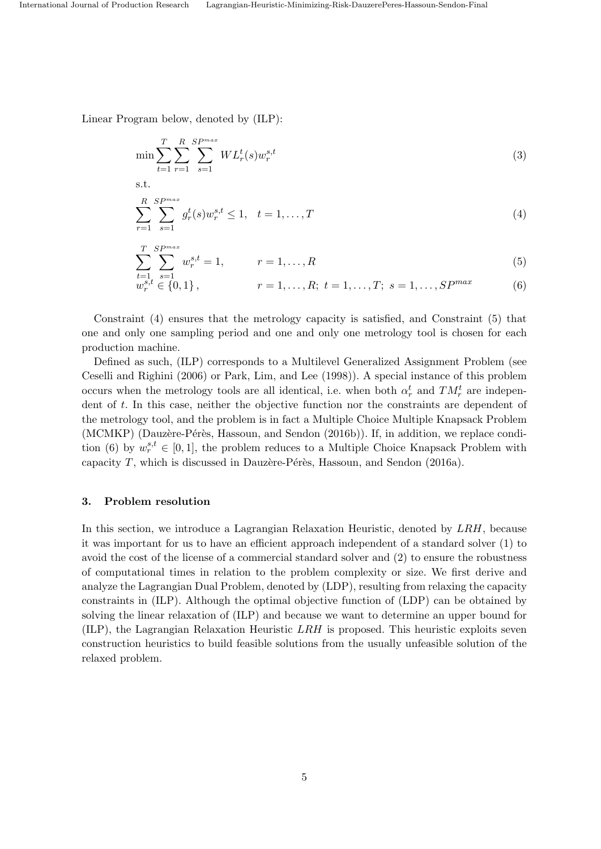Linear Program below, denoted by (ILP):

$$
\min \sum_{t=1}^{T} \sum_{r=1}^{R} \sum_{s=1}^{S P^{max}} WL_r^t(s) w_r^{s,t}
$$
\n(3)

$$
. t.
$$

s.t.

$$
\sum_{r=1}^{R} \sum_{s=1}^{S P^{max}} g_r^t(s) w_r^{s,t} \le 1, \quad t = 1, \dots, T
$$
\n(4)

$$
\sum_{t=1}^{T} \sum_{s=1}^{SP^{max}} w_r^{s,t} = 1, \qquad r = 1, \dots, R
$$
\n(5)

$$
t=1, s=1w_r^{s,t} \in \{0,1\}, \qquad r=1,\ldots,R; \ t=1,\ldots,T; \ s=1,\ldots,SP^{max} \qquad (6)
$$

Constraint (4) ensures that the metrology capacity is satisfied, and Constraint (5) that one and only one sampling period and one and only one metrology tool is chosen for each production machine.

Defined as such, (ILP) corresponds to a Multilevel Generalized Assignment Problem (see Ceselli and Righini (2006) or Park, Lim, and Lee (1998)). A special instance of this problem occurs when the metrology tools are all identical, i.e. when both  $\alpha_r^t$  and  $TM_r^t$  are independent of t. In this case, neither the objective function nor the constraints are dependent of the metrology tool, and the problem is in fact a Multiple Choice Multiple Knapsack Problem (MCMKP) (Dauzère-Pérès, Hassoun, and Sendon (2016b)). If, in addition, we replace condition (6) by  $w_r^{s,t} \in [0,1]$ , the problem reduces to a Multiple Choice Knapsack Problem with capacity  $T$ , which is discussed in Dauzère-Pérès, Hassoun, and Sendon (2016a).

### 3. Problem resolution

In this section, we introduce a Lagrangian Relaxation Heuristic, denoted by LRH, because it was important for us to have an efficient approach independent of a standard solver (1) to avoid the cost of the license of a commercial standard solver and (2) to ensure the robustness of computational times in relation to the problem complexity or size. We first derive and analyze the Lagrangian Dual Problem, denoted by (LDP), resulting from relaxing the capacity constraints in (ILP). Although the optimal objective function of (LDP) can be obtained by solving the linear relaxation of (ILP) and because we want to determine an upper bound for  $(ILP)$ , the Lagrangian Relaxation Heuristic LRH is proposed. This heuristic exploits seven construction heuristics to build feasible solutions from the usually unfeasible solution of the relaxed problem.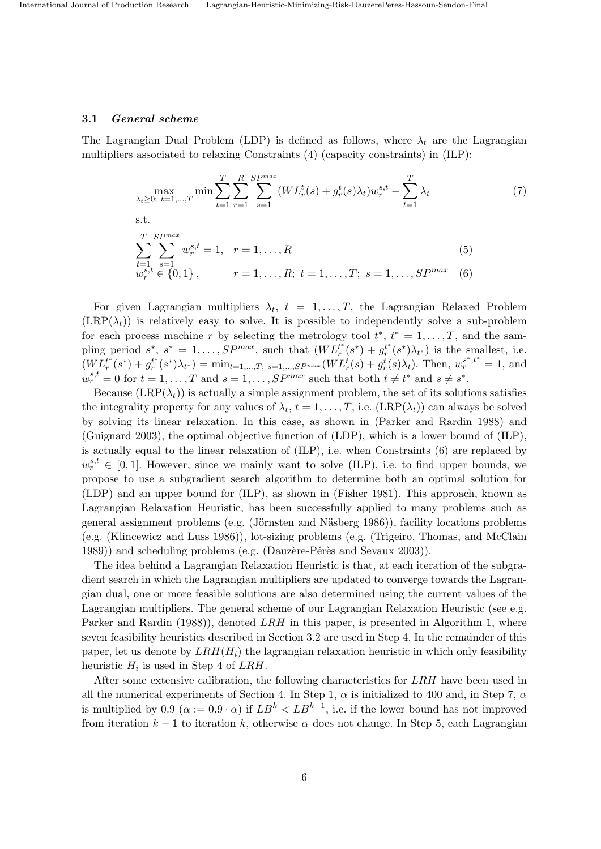### 3.1 General scheme

The Lagrangian Dual Problem (LDP) is defined as follows, where  $\lambda_t$  are the Lagrangian multipliers associated to relaxing Constraints (4) (capacity constraints) in (ILP):

$$
\max_{\lambda_t \geq 0; \ t=1,\dots,T} \min \sum_{t=1}^T \sum_{r=1}^R \sum_{s=1}^{S P^{max}} (WL_r^t(s) + g_r^t(s)\lambda_t) w_r^{s,t} - \sum_{t=1}^T \lambda_t
$$
\n
$$
\sum_{t=1}^T \sum_{s=1}^{S P^{max}} w_r^{s,t} = 1, \ r = 1,\dots,R
$$
\n
$$
w_r^{s,t} \in \{0,1\}, \ r = 1,\dots,R; \ t = 1,\dots,T; \ s = 1,\dots,SP^{max} \quad (6)
$$

For given Lagrangian multipliers  $\lambda_t$ ,  $t = 1, \ldots, T$ , the Lagrangian Relaxed Problem  $(LRP(\lambda_t))$  is relatively easy to solve. It is possible to independently solve a sub-problem for each process machine r by selecting the metrology tool  $t^*, t^* = 1, \ldots, T$ , and the sampling period  $s^*$ ,  $s^* = 1, \ldots, SP^{max}$ , such that  $(WL_r^{t^*}(s^*) + g_r^{t^*}(s^*)\lambda_{t^*})$  is the smallest, i.e.  $(W L_r^{t*}(s^*) + g_r^{t*}(s^*) \lambda_{t^*}) = \min_{t=1,\dots,T; s=1,\dots,SP^{max}} (WL_r^t(s) + g_r^t(s) \lambda_t)$ . Then,  $w_r^{s^*,t^*} = 1$ , and  $w_r^{s,t} = 0$  for  $t = 1, ..., T$  and  $s = 1, ..., SP^{max}$  such that both  $t \neq t^*$  and  $s \neq s^*$ .

Because  $(LRP(\lambda_t))$  is actually a simple assignment problem, the set of its solutions satisfies the integrality property for any values of  $\lambda_t$ ,  $t = 1, \ldots, T$ , i.e.  $(LRP(\lambda_t))$  can always be solved by solving its linear relaxation. In this case, as shown in (Parker and Rardin 1988) and (Guignard 2003), the optimal objective function of (LDP), which is a lower bound of (ILP), is actually equal to the linear relaxation of (ILP), i.e. when Constraints (6) are replaced by  $w_r^{s,t} \in [0,1]$ . However, since we mainly want to solve (ILP), i.e. to find upper bounds, we propose to use a subgradient search algorithm to determine both an optimal solution for (LDP) and an upper bound for (ILP), as shown in (Fisher 1981). This approach, known as Lagrangian Relaxation Heuristic, has been successfully applied to many problems such as general assignment problems (e.g. (Jörnsten and Näsberg 1986)), facility locations problems (e.g. (Klincewicz and Luss 1986)), lot-sizing problems (e.g. (Trigeiro, Thomas, and McClain 1989)) and scheduling problems (e.g. (Dauzère-Pérès and Sevaux 2003)).

The idea behind a Lagrangian Relaxation Heuristic is that, at each iteration of the subgradient search in which the Lagrangian multipliers are updated to converge towards the Lagrangian dual, one or more feasible solutions are also determined using the current values of the Lagrangian multipliers. The general scheme of our Lagrangian Relaxation Heuristic (see e.g. Parker and Rardin  $(1988)$ , denoted LRH in this paper, is presented in Algorithm 1, where seven feasibility heuristics described in Section 3.2 are used in Step 4. In the remainder of this paper, let us denote by  $LRH(H_i)$  the lagrangian relaxation heuristic in which only feasibility heuristic  $H_i$  is used in Step 4 of LRH.

After some extensive calibration, the following characteristics for LRH have been used in all the numerical experiments of Section 4. In Step 1,  $\alpha$  is initialized to 400 and, in Step 7,  $\alpha$ is multiplied by 0.9 ( $\alpha := 0.9 \cdot \alpha$ ) if  $LB^k < LB^{k-1}$ , i.e. if the lower bound has not improved from iteration  $k-1$  to iteration k, otherwise  $\alpha$  does not change. In Step 5, each Lagrangian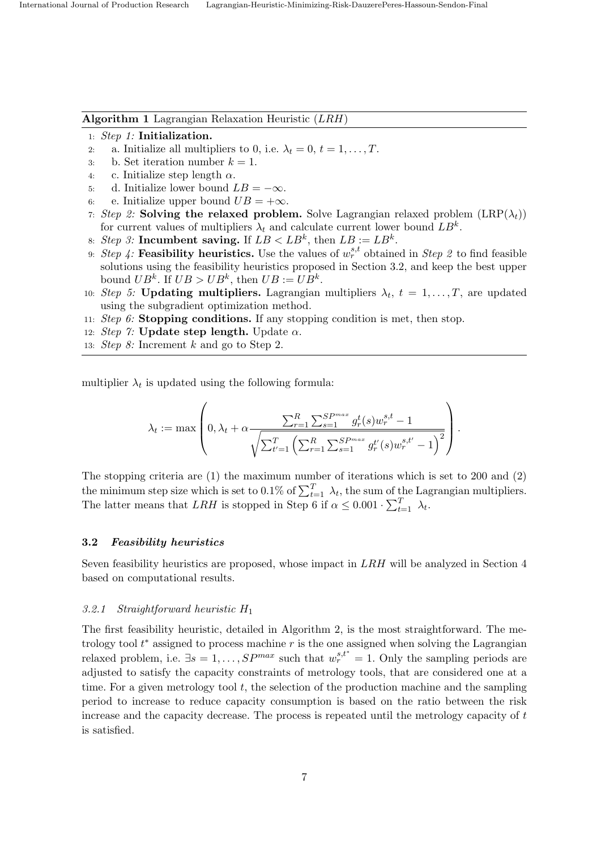|  | Algorithm 1 Lagrangian Relaxation Heuristic $(LRH)$ |  |  |  |  |  |  |
|--|-----------------------------------------------------|--|--|--|--|--|--|
|--|-----------------------------------------------------|--|--|--|--|--|--|

- 1: Step 1: Initialization.
- 2: a. Initialize all multipliers to 0, i.e.  $\lambda_t = 0, t = 1, \ldots, T$ .
- 3: b. Set iteration number  $k = 1$ .
- 4: c. Initialize step length  $\alpha$ .
- 5: d. Initialize lower bound  $LB = -\infty$ .
- 6: e. Initialize upper bound  $UB = +\infty$ .
- 7: Step 2: Solving the relaxed problem. Solve Lagrangian relaxed problem  $(LRP(\lambda_t))$ for current values of multipliers  $\lambda_t$  and calculate current lower bound  $LB^k$ .
- 8: Step 3: Incumbent saving. If  $LB < LB^k$ , then  $LB := LB^k$ .
- 9: Step 4: **Feasibility heuristics.** Use the values of  $w_r^{s,t}$  obtained in Step 2 to find feasible solutions using the feasibility heuristics proposed in Section 3.2, and keep the best upper bound  $UB^k$ . If  $UB > UB^k$ , then  $UB := UB^k$ .
- 10: Step 5: **Updating multipliers.** Lagrangian multipliers  $\lambda_t$ ,  $t = 1, \ldots, T$ , are updated using the subgradient optimization method.
- 11: Step 6: Stopping conditions. If any stopping condition is met, then stop.
- 12: Step 7: Update step length. Update  $\alpha$ .
- 13: Step 8: Increment k and go to Step 2.

multiplier  $\lambda_t$  is updated using the following formula:

$$
\lambda_t := \max \left( 0, \lambda_t + \alpha \frac{\sum_{r=1}^R \sum_{s=1}^{SP^{max}} g_r^t(s) w_r^{s,t} - 1}{\sqrt{\sum_{t'=1}^T \left( \sum_{r=1}^R \sum_{s=1}^{SP^{max}} g_r^{t'}(s) w_r^{s,t'} - 1 \right)^2}} \right).
$$

The stopping criteria are (1) the maximum number of iterations which is set to 200 and (2) the minimum step size which is set to 0.1% of  $\sum_{t=1}^{T} \lambda_t$ , the sum of the Lagrangian multipliers. The latter means that LRH is stopped in Step 6 if  $\alpha \leq 0.001 \cdot \sum_{t=1}^{T} \lambda_t$ .

### 3.2 Feasibility heuristics

Seven feasibility heuristics are proposed, whose impact in LRH will be analyzed in Section 4 based on computational results.

#### 3.2.1 Straightforward heuristic  $H_1$

The first feasibility heuristic, detailed in Algorithm 2, is the most straightforward. The metrology tool  $t^*$  assigned to process machine r is the one assigned when solving the Lagrangian relaxed problem, i.e.  $\exists s = 1, ..., SP^{max}$  such that  $w_r^{s,t^*} = 1$ . Only the sampling periods are adjusted to satisfy the capacity constraints of metrology tools, that are considered one at a time. For a given metrology tool  $t$ , the selection of the production machine and the sampling period to increase to reduce capacity consumption is based on the ratio between the risk increase and the capacity decrease. The process is repeated until the metrology capacity of t is satisfied.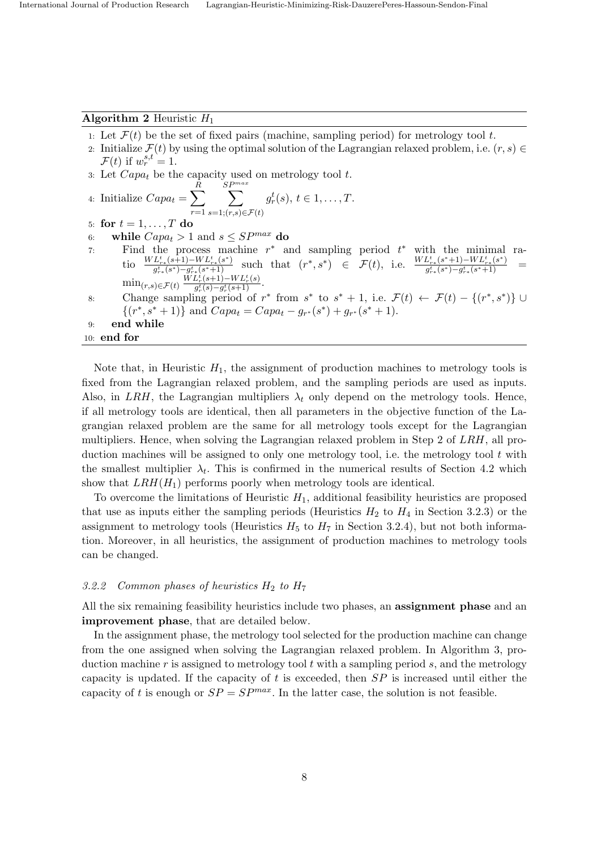# **Algorithm 2** Heuristic  $H_1$

1: Let  $\mathcal{F}(t)$  be the set of fixed pairs (machine, sampling period) for metrology tool t. 2: Initialize  $\mathcal{F}(t)$  by using the optimal solution of the Lagrangian relaxed problem, i.e.  $(r, s) \in$  $\mathcal{F}(t)$  if  $w_r^{s,t} = 1$ . 3: Let  $Capa_t$  be the capacity used on metrology tool t. 4: Initialize  $Capa_t = \sum$ R  $r=1$  $\sum^{S P^{max}}$  $s=1; (r,s) \in \mathcal{F}(t)$  $g_r^t(s), t \in 1, ..., T.$ 5: for  $t = 1, \ldots, T$  do 6: while  $Capa_t > 1$  and  $s \leq SP^{max}$  do 7: Find the process machine  $r^*$  and sampling period  $t^*$  with the minimal ratio  $\frac{WL_{r*}^{t}(s+1)-WL_{r*}^{t}(s^{*})}{a^{t}(s^{*})-a^{t}(s^{*}+1)}$  $\frac{L_{r_{*}}^{t}(s+1)-WL_{r_{*}}^{t}(s^{*})}{g_{r_{*}}^{t}(s^{*})-g_{r_{*}}^{t}(s^{*}+1)}$  such that  $(r^{*}, s^{*}) \in \mathcal{F}(t)$ , i.e.  $\frac{WL_{r_{*}}^{t}(s^{*}+1)-WL_{r_{*}}^{t}(s^{*})}{g_{r_{*}}^{t}(s^{*})-g_{r_{*}}^{t}(s^{*}+1)}$  $\frac{L_{r*}^*(s^*+1)-W L_{r*}^*(s^*)}{g_{r*}^t(s^*)-g_{r*}^t(s^*+1)}$  =  $\min_{(r,s)\in\mathcal{F}(t)} \frac{WL_r^t(s+1)-WL_r^t(s)}{q_c^t(s)-q_c^t(s+1)}$  $\frac{L_r^+(s+1)-W\,L_r^+(s)}{g_r^t(s)-g_r^t(s+1)}$ . 8: Change sampling period of  $r^*$  from  $s^*$  to  $s^* + 1$ , i.e.  $\mathcal{F}(t) \leftarrow \mathcal{F}(t) - \{(r^*, s^*)\} \cup$  $\{(r^*, s^* + 1)\}\$ and  $Capa_t = Capa_t - g_{r^*}(s^*) + g_{r^*}(s^* + 1).$ 9: end while 10: end for

Note that, in Heuristic  $H_1$ , the assignment of production machines to metrology tools is fixed from the Lagrangian relaxed problem, and the sampling periods are used as inputs. Also, in LRH, the Lagrangian multipliers  $\lambda_t$  only depend on the metrology tools. Hence, if all metrology tools are identical, then all parameters in the objective function of the Lagrangian relaxed problem are the same for all metrology tools except for the Lagrangian multipliers. Hence, when solving the Lagrangian relaxed problem in Step 2 of LRH, all production machines will be assigned to only one metrology tool, i.e. the metrology tool  $t$  with the smallest multiplier  $\lambda_t$ . This is confirmed in the numerical results of Section 4.2 which show that  $LRH(H_1)$  performs poorly when metrology tools are identical.

To overcome the limitations of Heuristic  $H_1$ , additional feasibility heuristics are proposed that use as inputs either the sampling periods (Heuristics  $H_2$  to  $H_4$  in Section 3.2.3) or the assignment to metrology tools (Heuristics  $H_5$  to  $H_7$  in Section 3.2.4), but not both information. Moreover, in all heuristics, the assignment of production machines to metrology tools can be changed.

### 3.2.2 Common phases of heuristics  $H_2$  to  $H_7$

All the six remaining feasibility heuristics include two phases, an assignment phase and an improvement phase, that are detailed below.

In the assignment phase, the metrology tool selected for the production machine can change from the one assigned when solving the Lagrangian relaxed problem. In Algorithm 3, production machine r is assigned to metrology tool t with a sampling period s, and the metrology capacity is updated. If the capacity of t is exceeded, then  $SP$  is increased until either the capacity of t is enough or  $SP = SP^{max}$ . In the latter case, the solution is not feasible.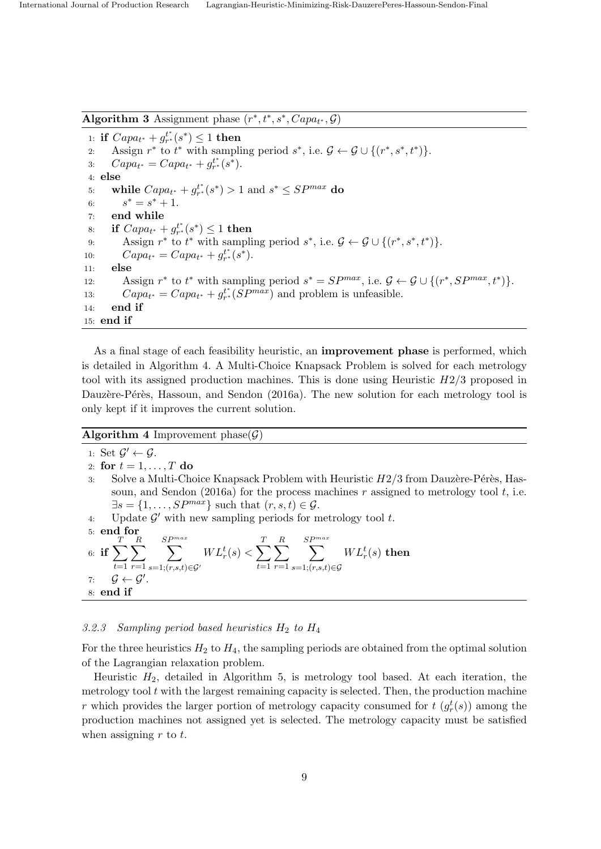Algorithm 3 Assignment phase  $(r^*, t^*, s^*, Capa_{t^*}, \mathcal{G})$ 1: if  $Capa_{t^*} + g_{r^*}^{t^*}(s^*) \leq 1$  then 2: Assign  $r^*$  to  $t^*$  with sampling period  $s^*$ , i.e.  $\mathcal{G} \leftarrow \mathcal{G} \cup \{(r^*, s^*, t^*)\}.$ 3:  $Capa_{t^*} = Capa_{t^*} + g_{r^*}^{t^*}(s^*).$ 4: else 5: while  $Capa_{t^*} + g_{r^*}^{t^*}(s^*) > 1$  and  $s^* \leq SP^{max}$  do  $6:$  $* = s^* + 1.$ 7: end while 8: if  $Capa_{t^*} + g^{t^*}_{r^*}(s^*) \le 1$  then 9: Assign  $r^*$  to  $t^*$  with sampling period  $s^*$ , i.e.  $\mathcal{G} \leftarrow \mathcal{G} \cup \{(r^*, s^*, t^*)\}.$ 10:  $Capa_{t^*} = Capa_{t^*} + g_{r^*}^{t^*}(s^*).$ 11: else 12: Assign  $r^*$  to  $t^*$  with sampling period  $s^* = SP^{max}$ , i.e.  $\mathcal{G} \leftarrow \mathcal{G} \cup \{(r^*, SP^{max}, t^*)\}.$ 13:  $Capa_{t^*} = Capa_{t^*} + g_{r^*}^{t^*}(SP^{max})$  and problem is unfeasible. 14: end if 15: end if

As a final stage of each feasibility heuristic, an improvement phase is performed, which is detailed in Algorithm 4. A Multi-Choice Knapsack Problem is solved for each metrology tool with its assigned production machines. This is done using Heuristic  $H2/3$  proposed in Dauzère-Pérès, Hassoun, and Sendon (2016a). The new solution for each metrology tool is only kept if it improves the current solution.

# Algorithm 4 Improvement phase  $(\mathcal{G})$

1: Set  $\mathcal{G}' \leftarrow \mathcal{G}$ .

- 2: for  $t = 1, \ldots, T$  do
- 3: Solve a Multi-Choice Knapsack Problem with Heuristic  $H2/3$  from Dauzère-Pérès, Hassoun, and Sendon (2016a) for the process machines r assigned to metrology tool  $t$ , i.e.  $\exists s = \{1, \ldots, SP^{max}\}\$  such that  $(r, s, t) \in \mathcal{G}$ .
- 4: Update  $\mathcal{G}'$  with new sampling periods for metrology tool t.

5: end for 6: if  $\sum$ T  $t=1$  $\sum$ R  $r=1$  $\sum^{S P^{max}}$  $s=1;(r,s,t) \in \mathcal{G}'$  $WL^t_r(s) < \sum$ T  $t=1$  $\sum$ R  $r=1$  $\sum^{S P^{max}}$  $s=1; (r,s,t) \in \mathcal{G}$  $WL_r^t(s)$  then 7:  $\mathcal{G} \leftarrow \mathcal{G}'$ . 8: end if

# 3.2.3 Sampling period based heuristics  $H_2$  to  $H_4$

For the three heuristics  $H_2$  to  $H_4$ , the sampling periods are obtained from the optimal solution of the Lagrangian relaxation problem.

Heuristic  $H_2$ , detailed in Algorithm 5, is metrology tool based. At each iteration, the metrology tool  $t$  with the largest remaining capacity is selected. Then, the production machine r which provides the larger portion of metrology capacity consumed for  $t(g_r^t(s))$  among the production machines not assigned yet is selected. The metrology capacity must be satisfied when assigning  $r$  to  $t$ .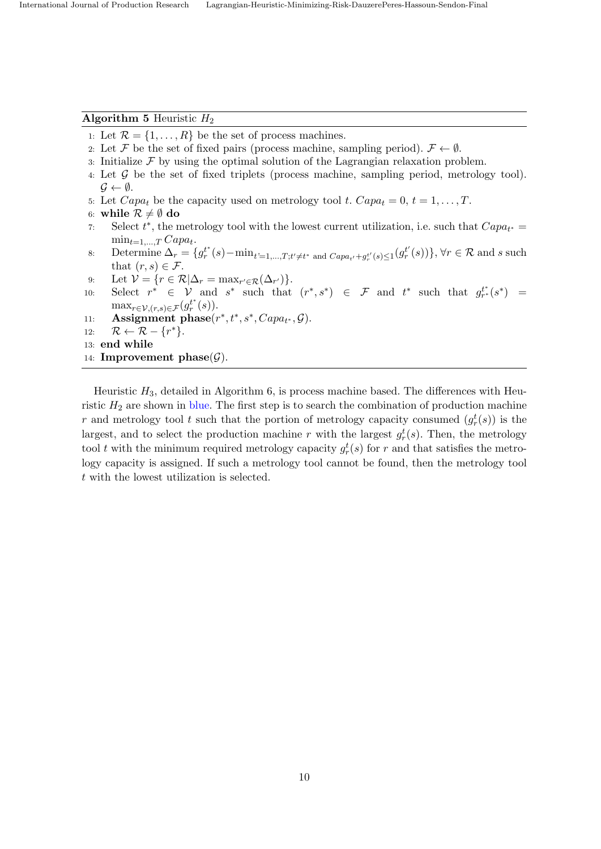### **Algorithm 5** Heuristic  $H_2$

- 1: Let  $\mathcal{R} = \{1, \ldots, R\}$  be the set of process machines.
- 2: Let F be the set of fixed pairs (process machine, sampling period).  $\mathcal{F} \leftarrow \emptyset$ .
- 3: Initialize  $\mathcal F$  by using the optimal solution of the Lagrangian relaxation problem.
- 4: Let G be the set of fixed triplets (process machine, sampling period, metrology tool).  $\mathcal{G} \leftarrow \emptyset.$
- 5: Let  $Capa_t$  be the capacity used on metrology tool t.  $Capa_t = 0, t = 1, ..., T$ .
- 6: while  $\mathcal{R} \neq \emptyset$  do
- 7: Select  $t^*$ , the metrology tool with the lowest current utilization, i.e. such that  $Capa_{t^*} =$  $min_{t=1,\dots,T} Capa_t.$
- 8: Determine  $\Delta_r = \{g_r^{t^*}(s) \min_{t'=1,\dots,T;t'\neq t^* \text{ and } Capa_{t'}+g_r^{t'}(s) \leq 1}(g_r^{t'}(s))\}, \forall r \in \mathcal{R} \text{ and } s \text{ such}$ that  $(r, s) \in \mathcal{F}$ .
- 9: Let  $V = \{r \in \mathcal{R} | \Delta_r = \max_{r' \in \mathcal{R}} (\Delta_{r'})\}.$
- 10: Select  $r^* \in V$  and  $s^*$  such that  $(r^*, s^*) \in \mathcal{F}$  and  $t^*$  such that  $g_{r^*}^{t^*}(s^*) =$  $\max_{r \in \mathcal{V}, (r,s) \in \mathcal{F}}(g_r^{t^*}(s)).$
- 11: Assignment phase $(r^*, t^*, s^*, Capa_{t^*}, \mathcal{G}).$
- 12:  $\mathcal{R} \leftarrow \mathcal{R} \{r^*\}.$
- 13: end while
- 14: **Improvement** phase $(\mathcal{G})$ .

Heuristic  $H_3$ , detailed in Algorithm 6, is process machine based. The differences with Heuristic  $H_2$  are shown in blue. The first step is to search the combination of production machine r and metrology tool t such that the portion of metrology capacity consumed  $(g_r^t(s))$  is the largest, and to select the production machine r with the largest  $g_r^t(s)$ . Then, the metrology tool t with the minimum required metrology capacity  $g_r^t(s)$  for r and that satisfies the metrology capacity is assigned. If such a metrology tool cannot be found, then the metrology tool t with the lowest utilization is selected.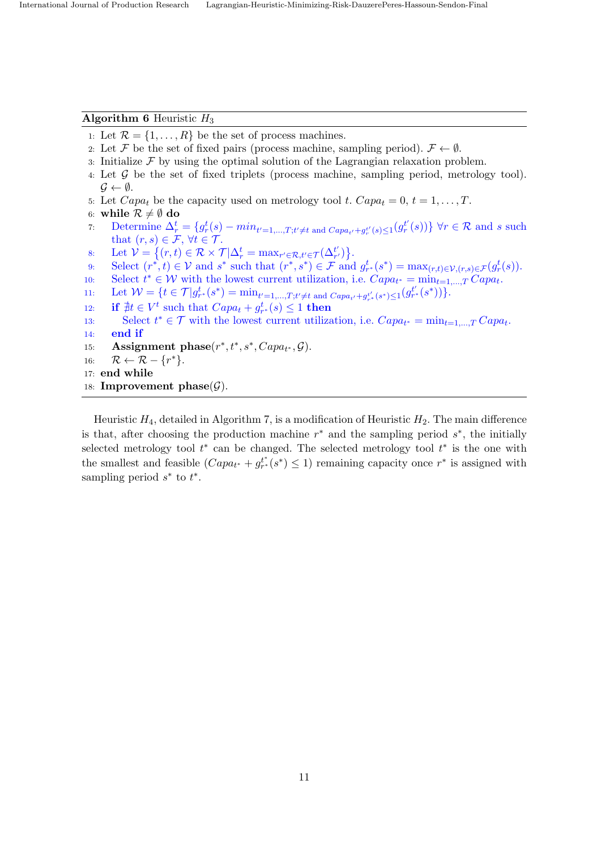## Algorithm 6 Heuristic  $H_3$

- 1: Let  $\mathcal{R} = \{1, \ldots, R\}$  be the set of process machines.
- 2: Let F be the set of fixed pairs (process machine, sampling period).  $\mathcal{F} \leftarrow \emptyset$ .
- 3: Initialize  $\mathcal F$  by using the optimal solution of the Lagrangian relaxation problem.
- 4: Let G be the set of fixed triplets (process machine, sampling period, metrology tool).  $\mathcal{G} \leftarrow \emptyset$ .
- 5: Let  $Capa_t$  be the capacity used on metrology tool t.  $Capa_t = 0, t = 1, ..., T$ .
- 6: while  $\mathcal{R} \neq \emptyset$  do
- 7: Determine  $\Delta_r^t = \{g_r^t(s) min_{t'=1,\dots,T;t'\neq t \text{ and } Capa_{t'}+g_r^{t'}(s) \leq 1}(g_r^{t'}(s))\} \forall r \in \mathcal{R}$  and s such that  $(r, s) \in \mathcal{F}$ ,  $\forall t \in \mathcal{T}$ .
- 8: Let  $\mathcal{V} = \{(r, t) \in \mathcal{R} \times \mathcal{T} | \Delta_r^t = \max_{r' \in \mathcal{R}, t' \in \mathcal{T}} (\Delta_{r'}^{t'})\}.$
- 9: Select  $(r^*, t) \in \mathcal{V}$  and  $s^*$  such that  $(r^*, s^*) \in \mathcal{F}$  and  $g^t_{r^*}(s^*) = \max_{(r,t) \in \mathcal{V}, (r,s) \in \mathcal{F}}(g^t_r(s))$ .
- 10: Select  $t^* \in \mathcal{W}$  with the lowest current utilization, i.e.  $Capa_{t^*} = \min_{t=1,\dots,T} Capa_t$ .
- 11: Let  $W = \{t \in \mathcal{T} | g_{r^*}^t(s^*) = \min_{t'=1,\ldots,T; t' \neq t \text{ and } Capa_{t'} + g_{r^*}^{t'}(s^*) \leq 1} (g_{r^*}^{t'}(s^*))\}.$
- 12: if  $\nexists t \in V^t$  such that  $Capa_t + g^t_{r^*}(s) \leq 1$  then
- 13: Select  $t^* \in \mathcal{T}$  with the lowest current utilization, i.e.  $Capa_{t^*} = \min_{t=1,\dots,T} Capa_t$ . 14: end if
- 15: Assignment phase $(r^*, t^*, s^*, Capa_{t^*}, \mathcal{G}).$
- 16:  $\mathcal{R} \leftarrow \mathcal{R} \{r^*\}.$
- 17: end while
- 18: **Improvement** phase $(\mathcal{G})$ .

Heuristic  $H_4$ , detailed in Algorithm 7, is a modification of Heuristic  $H_2$ . The main difference is that, after choosing the production machine  $r^*$  and the sampling period  $s^*$ , the initially selected metrology tool  $t^*$  can be changed. The selected metrology tool  $t^*$  is the one with the smallest and feasible  $(Capa_{t^*} + g^{t^*}_{r^*}(s^*) \leq 1)$  remaining capacity once  $r^*$  is assigned with sampling period  $s^*$  to  $t^*$ .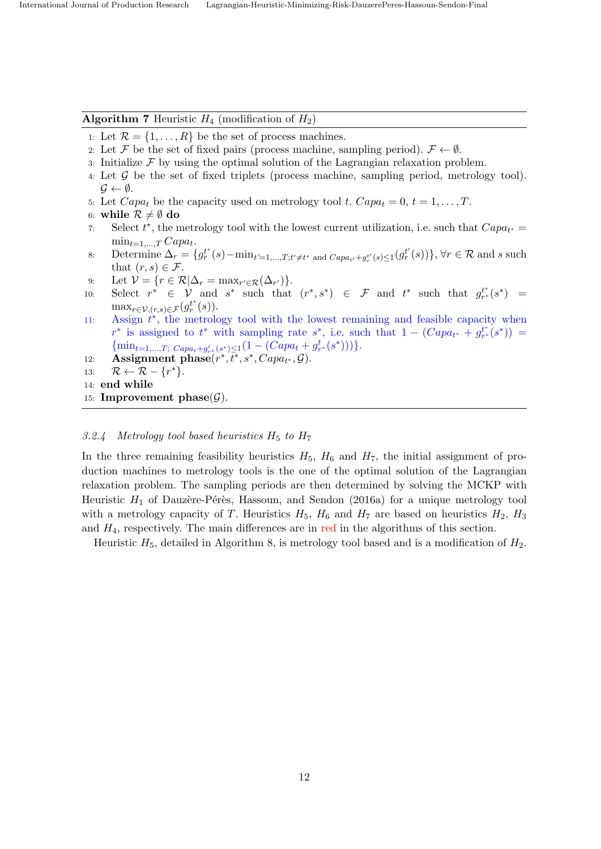**Algorithm 7** Heuristic  $H_4$  (modification of  $H_2$ )

- 1: Let  $\mathcal{R} = \{1, \ldots, R\}$  be the set of process machines.
- 2: Let F be the set of fixed pairs (process machine, sampling period).  $\mathcal{F} \leftarrow \emptyset$ .
- 3: Initialize  $\mathcal F$  by using the optimal solution of the Lagrangian relaxation problem.
- 4: Let G be the set of fixed triplets (process machine, sampling period, metrology tool).  $\mathcal{G} \leftarrow \emptyset$ .
- 5: Let  $Capa_t$  be the capacity used on metrology tool t.  $Capa_t = 0, t = 1, ..., T$ .
- 6: while  $\mathcal{R} \neq \emptyset$  do
- 7: Select  $t^*$ , the metrology tool with the lowest current utilization, i.e. such that  $Capa_{t^*} =$  $\min_{t=1,\dots,T} Capa_t.$
- 8: Determine  $\Delta_r = \{g_r^{t^*}(s) \min_{t'=1,\dots,T;t'\neq t^* \text{ and } Capa_{t'}+g_r^{t'}(s) \leq 1}(g_r^{t'}(s))\}, \forall r \in \mathcal{R} \text{ and } s \text{ such}$ that  $(r, s) \in \mathcal{F}$ .
- 9: Let  $V = \{r \in \mathcal{R} | \Delta_r = \max_{r' \in \mathcal{R}} (\Delta_{r'})\}.$
- 10: Select  $r^* \in V$  and  $s^*$  such that  $(r^*, s^*) \in \mathcal{F}$  and  $t^*$  such that  $g_{r^*}^{t^*}(s^*) =$  $\max_{r \in \mathcal{V}, (r,s) \in \mathcal{F}}(g_r^{t^*}(s)).$
- 11: Assign  $t^*$ , the metrology tool with the lowest remaining and feasible capacity when  $r^*$  is assigned to  $t^*$  with sampling rate  $s^*$ , i.e. such that  $1 - (Capa_{t^*} + g^{t^*}_{r^*}(s^*)) =$  $\{\min_{t=1,\ldots,T; Capa_t+g^t_{r^*}(s^*) \leq 1} (1 - (Capa_t + g^t_{r^*}(s^*)))\}.$
- 12: Assignment phase $(r^*, \bar{t}^*, s^*, Capa_{t^*}, \mathcal{G}).$
- 13:  $\mathcal{R} \leftarrow \mathcal{R} \{r^*\}.$
- 14: end while
- 15: **Improvement** phase $(\mathcal{G})$ .

### 3.2.4 Metrology tool based heuristics  $H_5$  to  $H_7$

In the three remaining feasibility heuristics  $H_5$ ,  $H_6$  and  $H_7$ , the initial assignment of production machines to metrology tools is the one of the optimal solution of the Lagrangian relaxation problem. The sampling periods are then determined by solving the MCKP with Heuristic  $H_1$  of Dauzère-Pérès, Hassoun, and Sendon (2016a) for a unique metrology tool with a metrology capacity of T. Heuristics  $H_5$ ,  $H_6$  and  $H_7$  are based on heuristics  $H_2$ ,  $H_3$ and  $H_4$ , respectively. The main differences are in red in the algorithms of this section.

Heuristic  $H_5$ , detailed in Algorithm 8, is metrology tool based and is a modification of  $H_2$ .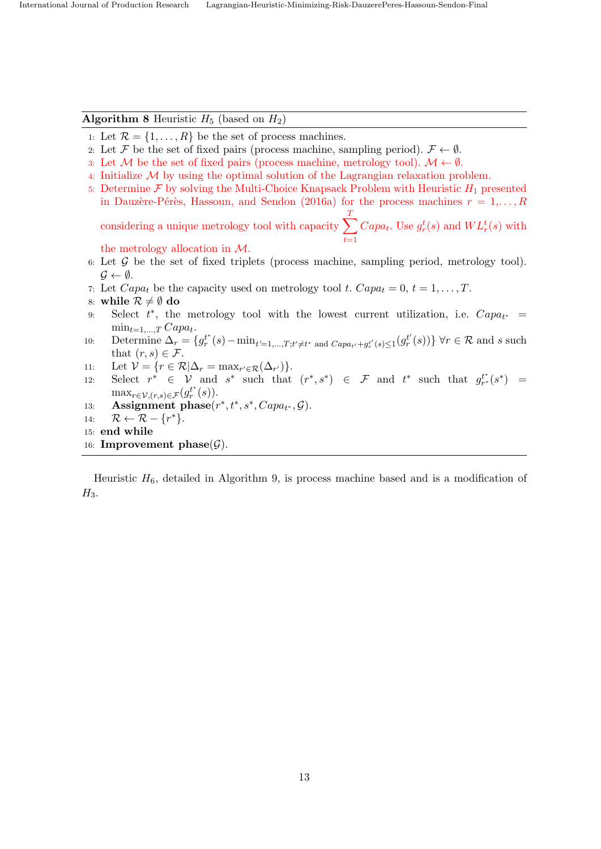| <b>Algorithm 8</b> Heuristic $H_5$ (based on $H_2$ ) |  |  |  |  |  |
|------------------------------------------------------|--|--|--|--|--|
|------------------------------------------------------|--|--|--|--|--|

- 1: Let  $\mathcal{R} = \{1, \ldots, R\}$  be the set of process machines.
- 2: Let F be the set of fixed pairs (process machine, sampling period).  $\mathcal{F} \leftarrow \emptyset$ .
- 3: Let M be the set of fixed pairs (process machine, metrology tool).  $\mathcal{M} \leftarrow \emptyset$ .
- 4: Initialize  $M$  by using the optimal solution of the Lagrangian relaxation problem.
- 5: Determine F by solving the Multi-Choice Knapsack Problem with Heuristic  $H_1$  presented in Dauzère-Pérès, Hassoun, and Sendon (2016a) for the process machines  $r = 1, \ldots, R$ T

considering a unique metrology tool with capacity  $\sum$  $t=1$  $Capa_t$ . Use  $g_r^t(s)$  and  $WL_r^t(s)$  with

the metrology allocation in M.

- 6: Let  $\mathcal G$  be the set of fixed triplets (process machine, sampling period, metrology tool).  $\mathcal{G} \leftarrow \emptyset$ .
- 7: Let  $Capa_t$  be the capacity used on metrology tool t.  $Capa_t = 0, t = 1, ..., T$ .
- 8: while  $\mathcal{R} \neq \emptyset$  do
- 9: Select  $t^*$ , the metrology tool with the lowest current utilization, i.e.  $Capa_{t^*}$  =  $\min_{t=1,\dots,T} Capa_t.$
- 10: Determine  $\Delta_r = \{g_r^{t^*}(s) \min_{t'=1,\dots,T;t'\neq t^* \text{ and } Capa_{t'}+g_r^{t'}(s) \leq 1}(g_r^{t'}(s))\} \forall r \in \mathcal{R} \text{ and } s \text{ such}$ that  $(r, s) \in \mathcal{F}$ .
- 11: Let  $V = \{r \in \mathcal{R} | \Delta_r = \max_{r' \in \mathcal{R}} (\Delta_{r'})\}.$
- 12: Select  $r^* \in V$  and  $s^*$  such that  $(r^*, s^*) \in \mathcal{F}$  and  $t^*$  such that  $g_{r^*}^{t^*}(s^*) =$  $\max_{r \in \mathcal{V}, (r,s) \in \mathcal{F}}(g_r^{t^*}(s)).$
- 13: Assignment phase $(r^*, t^*, s^*, Capa_{t^*}, \mathcal{G}).$
- 14:  $\mathcal{R} \leftarrow \mathcal{R} \{r^*\}.$
- 15: end while
- 16: **Improvement** phase $(\mathcal{G})$ .

Heuristic  $H_6$ , detailed in Algorithm 9, is process machine based and is a modification of  $H_3$ .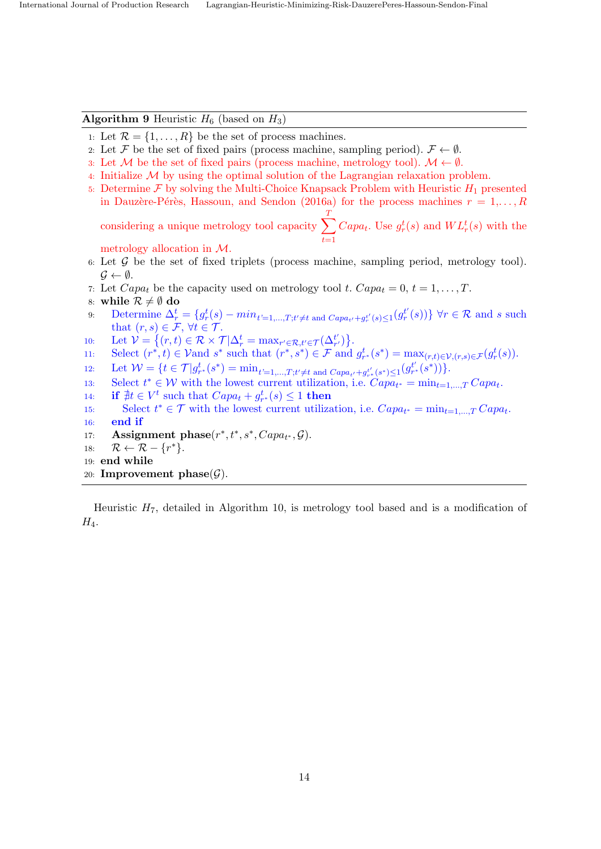| <b>Algorithm 9</b> Heuristic $H_6$ (based on $H_3$ ) |  |  |  |
|------------------------------------------------------|--|--|--|
|------------------------------------------------------|--|--|--|

- 1: Let  $\mathcal{R} = \{1, \ldots, R\}$  be the set of process machines.
- 2: Let F be the set of fixed pairs (process machine, sampling period).  $\mathcal{F} \leftarrow \emptyset$ .
- 3: Let M be the set of fixed pairs (process machine, metrology tool).  $\mathcal{M} \leftarrow \emptyset$ .
- 4: Initialize  $M$  by using the optimal solution of the Lagrangian relaxation problem.
- 5: Determine F by solving the Multi-Choice Knapsack Problem with Heuristic  $H_1$  presented in Dauzère-Pérès, Hassoun, and Sendon (2016a) for the process machines  $r = 1, \ldots, R$ T

considering a unique metrology tool capacity  $\sum$  $t=1$ *Capa<sub>t</sub>*. Use  $g_r^t(s)$  and  $WL_r^t(s)$  with the

metrology allocation in M.

- 6: Let  $\mathcal G$  be the set of fixed triplets (process machine, sampling period, metrology tool).  $G \leftarrow \emptyset$ .
- 7: Let  $Capa_t$  be the capacity used on metrology tool t.  $Capa_t = 0, t = 1, ..., T$ .

8: while  $\mathcal{R} \neq \emptyset$  do

- 9: Determine  $\Delta_r^t = \{g_r^t(s) min_{t'=1,\dots,T;t'\neq t \text{ and } Capa_{t'}+g_r^{t'}(s) \leq 1}(g_r^{t'}(s))\} \forall r \in \mathcal{R}$  and s such that  $(r, s) \in \mathcal{F}, \forall t \in \mathcal{T}$ .
- 10: Let  $V = \{(r, t) \in \mathcal{R} \times \mathcal{T} | \Delta_r^t = \max_{r' \in \mathcal{R}, t' \in \mathcal{T}} (\Delta_{r'}^{t'})\}.$
- 11: Select  $(r^*, t) \in \mathcal{V}$  and  $s^*$  such that  $(r^*, s^*) \in \mathcal{F}$  and  $g_{r^*}^t(s^*) = \max_{(r,t) \in \mathcal{V}, (r,s) \in \mathcal{F}}(g_r^t(s))$ .
- 12: Let  $\mathcal{W} = \{t \in \mathcal{T} | g_{r^*}^t(s^*) = \min_{t'=1,\ldots,T; t' \neq t \text{ and } Capa_{t'} + g_{r^*}^{t'}(s^*) \leq 1} (g_{r^*}^{t'}(s^*))\}.$
- 13: Select  $t^* \in \mathcal{W}$  with the lowest current utilization, i.e.  $\widehat{Capa}_{t^*} = \min_{t=1,\dots,T} Capa_t$ .
- 14: if  $\nexists t \in V^t$  such that  $Capa_t + g^t_{r^*}(s) \leq 1$  then
- 15: Select  $t^* \in \mathcal{T}$  with the lowest current utilization, i.e.  $Capa_{t^*} = \min_{t=1,\dots,T} Capa_t$ . 16: end if
- 17: Assignment phase $(r^*, t^*, s^*, Capa_{t^*}, \mathcal{G}).$
- 18:  $\mathcal{R} \leftarrow \mathcal{R} \{r^*\}.$
- 19: end while
- 20: **Improvement** phase $(\mathcal{G})$ .

Heuristic  $H_7$ , detailed in Algorithm 10, is metrology tool based and is a modification of  $H_4$ .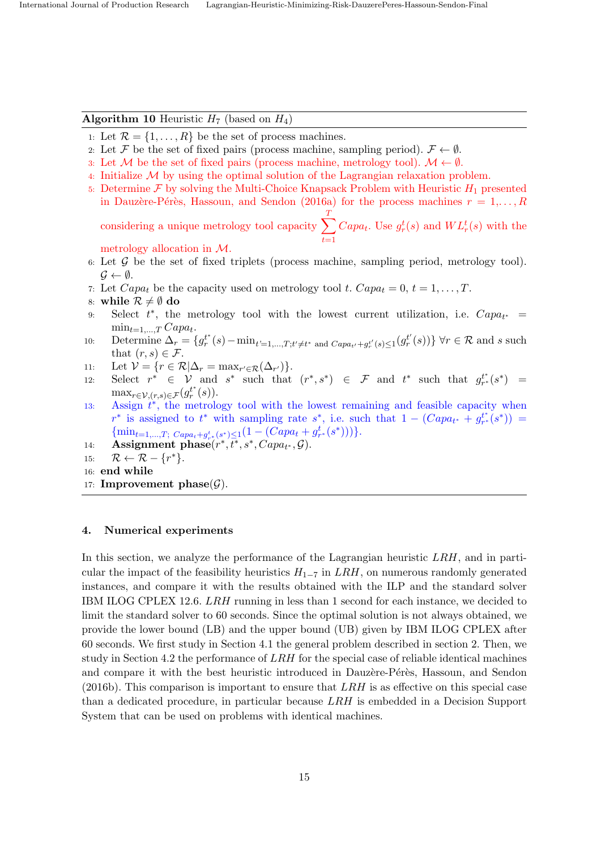### Algorithm 10 Heuristic  $H_7$  (based on  $H_4$ )

- 1: Let  $\mathcal{R} = \{1, \ldots, R\}$  be the set of process machines.
- 2: Let F be the set of fixed pairs (process machine, sampling period).  $\mathcal{F} \leftarrow \emptyset$ .
- 3: Let M be the set of fixed pairs (process machine, metrology tool).  $\mathcal{M} \leftarrow \emptyset$ .
- 4: Initialize  $M$  by using the optimal solution of the Lagrangian relaxation problem.
- 5: Determine  $\mathcal F$  by solving the Multi-Choice Knapsack Problem with Heuristic  $H_1$  presented in Dauzère-Pérès, Hassoun, and Sendon (2016a) for the process machines  $r = 1, \ldots, R$ T

considering a unique metrology tool capacity  $\sum$  $t=1$ *Capa<sub>t</sub>*. Use  $g_r^t(s)$  and  $WL_r^t(s)$  with the

metrology allocation in M.

- 6: Let  $\mathcal G$  be the set of fixed triplets (process machine, sampling period, metrology tool).  $G \leftarrow \emptyset$ .
- 7: Let  $Capa_t$  be the capacity used on metrology tool t.  $Capa_t = 0, t = 1, ..., T$ .
- 8: while  $\mathcal{R} \neq \emptyset$  do
- 9: Select  $t^*$ , the metrology tool with the lowest current utilization, i.e.  $Capa_{t^*}$  =  $\min_{t=1,\dots,T} Capa_t.$
- 10: Determine  $\Delta_r = \{g_r^{t^*}(s) \min_{t'=1,\dots,T;t'\neq t^* \text{ and } Capa_{t'}+g_r^{t'}(s) \leq 1}(g_r^{t'}(s))\} \forall r \in \mathcal{R} \text{ and } s \text{ such}$ that  $(r, s) \in \mathcal{F}$ .
- 11: Let  $V = \{r \in \mathcal{R} | \Delta_r = \max_{r' \in \mathcal{R}} (\Delta_{r'})\}.$
- 12: Select  $r^* \in V$  and  $s^*$  such that  $(r^*, s^*) \in \mathcal{F}$  and  $t^*$  such that  $g_{r^*}^{t^*}(s^*) =$  $\max_{r \in \mathcal{V}, (r,s) \in \mathcal{F}}(g_r^{t^*}(s)).$
- 13: Assign  $t^*$ , the metrology tool with the lowest remaining and feasible capacity when  $r^*$  is assigned to  $t^*$  with sampling rate  $s^*$ , i.e. such that  $1 - (Capa_{t^*} + g^{t^*}_{r^*}(s^*)) =$  $\{\min_{t=1,\ldots,T; Capa_t+g^t_{r^*}(s^*) \leq 1} (1 - (Capa_t + g^t_{r^*}(s^*)))\}.$
- 14: Assignment phase $(r^*, \bar{t}^*, s^*, Capa_{t^*}, \mathcal{G}).$
- 15:  $\mathcal{R} \leftarrow \mathcal{R} \{r^*\}.$
- 16: end while
- 17: **Improvement** phase $(\mathcal{G})$ .

#### 4. Numerical experiments

In this section, we analyze the performance of the Lagrangian heuristic LRH, and in particular the impact of the feasibility heuristics  $H_{1-7}$  in  $LRH$ , on numerous randomly generated instances, and compare it with the results obtained with the ILP and the standard solver IBM ILOG CPLEX 12.6. LRH running in less than 1 second for each instance, we decided to limit the standard solver to 60 seconds. Since the optimal solution is not always obtained, we provide the lower bound (LB) and the upper bound (UB) given by IBM ILOG CPLEX after 60 seconds. We first study in Section 4.1 the general problem described in section 2. Then, we study in Section 4.2 the performance of  $LRH$  for the special case of reliable identical machines and compare it with the best heuristic introduced in Dauzère-Pérès, Hassoun, and Sendon  $(2016b)$ . This comparison is important to ensure that LRH is as effective on this special case than a dedicated procedure, in particular because LRH is embedded in a Decision Support System that can be used on problems with identical machines.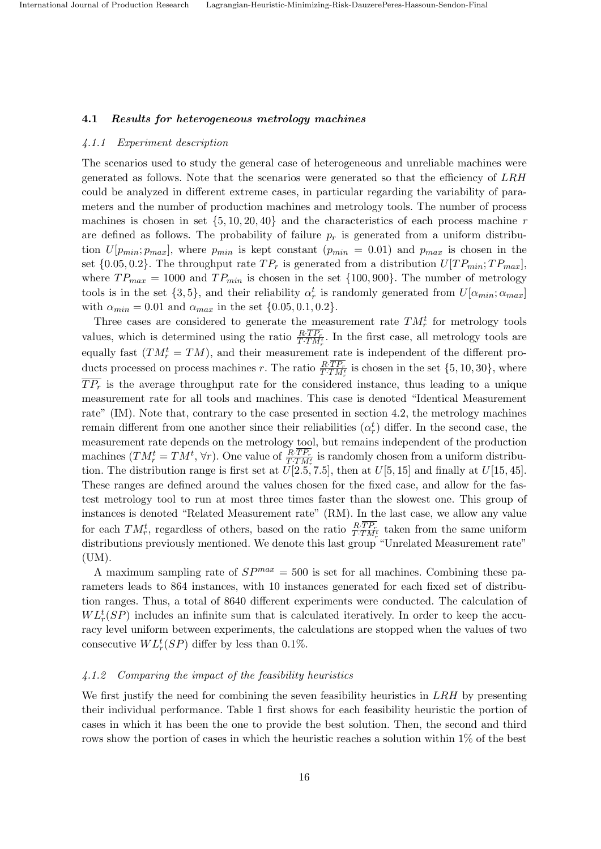### 4.1 Results for heterogeneous metrology machines

### 4.1.1 Experiment description

The scenarios used to study the general case of heterogeneous and unreliable machines were generated as follows. Note that the scenarios were generated so that the efficiency of LRH could be analyzed in different extreme cases, in particular regarding the variability of parameters and the number of production machines and metrology tools. The number of process machines is chosen in set  $\{5, 10, 20, 40\}$  and the characteristics of each process machine r are defined as follows. The probability of failure  $p_r$  is generated from a uniform distribution  $U[p_{min}; p_{max}]$ , where  $p_{min}$  is kept constant  $(p_{min} = 0.01)$  and  $p_{max}$  is chosen in the set  $\{0.05, 0.2\}$ . The throughput rate  $TP_r$  is generated from a distribution  $U[TP_{min};TP_{max}]$ , where  $TP_{max} = 1000$  and  $TP_{min}$  is chosen in the set  $\{100, 900\}$ . The number of metrology tools is in the set  $\{3, 5\}$ , and their reliability  $\alpha_r^t$  is randomly generated from  $U[\alpha_{min}; \alpha_{max}]$ with  $\alpha_{min} = 0.01$  and  $\alpha_{max}$  in the set  $\{0.05, 0.1, 0.2\}.$ 

Three cases are considered to generate the measurement rate  $TM_r^t$  for metrology tools values, which is determined using the ratio  $\frac{RTP_r}{T^T M_r^t}$ . In the first case, all metrology tools are equally fast  $(TM_r^t = TM)$ , and their measurement rate is independent of the different products processed on process machines r. The ratio  $\frac{RTP_r}{T\cdot TM_r^t}$  is chosen in the set  $\{5, 10, 30\}$ , where  $\overline{TP_r}$  is the average throughput rate for the considered instance, thus leading to a unique measurement rate for all tools and machines. This case is denoted "Identical Measurement rate" (IM). Note that, contrary to the case presented in section 4.2, the metrology machines remain different from one another since their reliabilities  $(\alpha_r^t)$  differ. In the second case, the measurement rate depends on the metrology tool, but remains independent of the production machines  $(TM_r^t = TM^t, \forall r)$ . One value of  $\frac{RTP_r}{T^t M_r^t}$  is randomly chosen from a uniform distribution. The distribution range is first set at  $U[2.5, 7.5]$ , then at  $U[5, 15]$  and finally at  $U[15, 45]$ . These ranges are defined around the values chosen for the fixed case, and allow for the fastest metrology tool to run at most three times faster than the slowest one. This group of instances is denoted "Related Measurement rate" (RM). In the last case, we allow any value for each  $TM_r^t$ , regardless of others, based on the ratio  $\frac{R\cdot TP_r}{T\cdot TM_r^t}$  taken from the same uniform distributions previously mentioned. We denote this last group "Unrelated Measurement rate" (UM).

A maximum sampling rate of  $SP^{max} = 500$  is set for all machines. Combining these parameters leads to 864 instances, with 10 instances generated for each fixed set of distribution ranges. Thus, a total of 8640 different experiments were conducted. The calculation of  $WL_r^t$ (SP) includes an infinite sum that is calculated iteratively. In order to keep the accuracy level uniform between experiments, the calculations are stopped when the values of two consecutive  $WL_r^t(SP)$  differ by less than 0.1%.

#### 4.1.2 Comparing the impact of the feasibility heuristics

We first justify the need for combining the seven feasibility heuristics in LRH by presenting their individual performance. Table 1 first shows for each feasibility heuristic the portion of cases in which it has been the one to provide the best solution. Then, the second and third rows show the portion of cases in which the heuristic reaches a solution within 1% of the best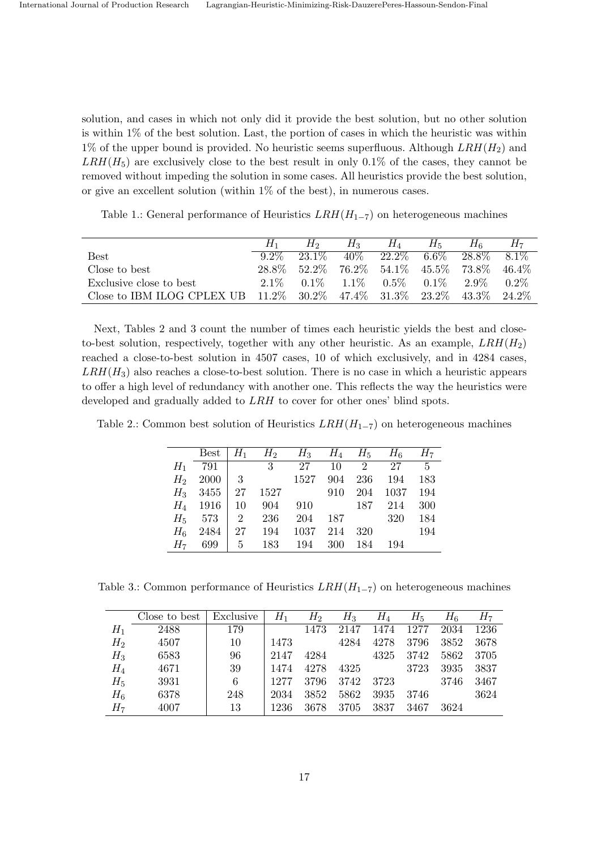solution, and cases in which not only did it provide the best solution, but no other solution is within 1% of the best solution. Last, the portion of cases in which the heuristic was within 1% of the upper bound is provided. No heuristic seems superfluous. Although  $LRH(H_2)$  and  $LRH(H_5)$  are exclusively close to the best result in only 0.1% of the cases, they cannot be removed without impeding the solution in some cases. All heuristics provide the best solution, or give an excellent solution (within 1% of the best), in numerous cases.

Table 1.: General performance of Heuristics  $LRH(H_{1-7})$  on heterogeneous machines

|                                                                               |         | $H_2$   | $H_3$   | $H_A$ | $H$ 5.          | Ħв                                   | $H_7$   |
|-------------------------------------------------------------------------------|---------|---------|---------|-------|-----------------|--------------------------------------|---------|
| Best                                                                          | $9.2\%$ | 23.1\%  | $40\%$  |       |                 | $22.2\%$ 6.6\% 28.8\%                | 8.1\%   |
| Close to best                                                                 | 28.8%   | 52.2\%  |         |       |                 | $76.2\%$ 54.1\% 45.5\% 73.8\% 46.4\% |         |
| Exclusive close to best                                                       | $2.1\%$ | $0.1\%$ | $1.1\%$ |       | $0.5\%$ $0.1\%$ | 2.9%                                 | $0.2\%$ |
| Close to IBM ILOG CPLEX UB $11.2\%$ 30.2\% 47.4\% 31.3\% 23.2\% 43.3\% 24.2\% |         |         |         |       |                 |                                      |         |

Next, Tables 2 and 3 count the number of times each heuristic yields the best and closeto-best solution, respectively, together with any other heuristic. As an example,  $LRH(H_2)$ reached a close-to-best solution in 4507 cases, 10 of which exclusively, and in 4284 cases,  $LRH(H_3)$  also reaches a close-to-best solution. There is no case in which a heuristic appears to offer a high level of redundancy with another one. This reflects the way the heuristics were developed and gradually added to LRH to cover for other ones' blind spots.

Table 2.: Common best solution of Heuristics  $LRH(H_{1-7})$  on heterogeneous machines

|       | Best | $H_1$          | $H_2$ | $H_3$ | $H_4$ | $H_5$          | $H_6$ | $H_7$          |
|-------|------|----------------|-------|-------|-------|----------------|-------|----------------|
| $H_1$ | 791  |                | 3     | 27    | 10    | $\overline{2}$ | 27    | $\overline{5}$ |
| $H_2$ | 2000 | 3              |       | 1527  | 904   | 236            | 194   | 183            |
| $H_3$ | 3455 | 27             | 1527  |       | 910   | 204            | 1037  | 194            |
| $H_4$ | 1916 | 10             | 904   | 910   |       | 187            | 214   | 300            |
| $H_5$ | 573  | $\overline{2}$ | 236   | 204   | 187   |                | 320   | 184            |
| $H_6$ | 2484 | 27             | 194   | 1037  | 214   | 320            |       | 194            |
| $H_7$ | 699  | 5              | 183   | 194   | 300   | 184            | 194   |                |

Table 3.: Common performance of Heuristics  $LRH(H_{1-7})$  on heterogeneous machines

|       | Close to best | Exclusive | $H_1$ | $H_2$ | $H_3$ | $H_4$ | $H_5$ | $H_6$ | $H_7\,$ |
|-------|---------------|-----------|-------|-------|-------|-------|-------|-------|---------|
| $H_1$ | 2488          | 179       |       | 1473  | 2147  | 1474  | 1277  | 2034  | 1236    |
| $H_2$ | 4507          | 10        | 1473  |       | 4284  | 4278  | 3796  | 3852  | 3678    |
| $H_3$ | 6583          | 96        | 2147  | 4284  |       | 4325  | 3742  | 5862  | 3705    |
| $H_4$ | 4671          | 39        | 1474  | 4278  | 4325  |       | 3723  | 3935  | 3837    |
| $H_5$ | 3931          | 6         | 1277  | 3796  | 3742  | 3723  |       | 3746  | 3467    |
| $H_6$ | 6378          | 248       | 2034  | 3852  | 5862  | 3935  | 3746  |       | 3624    |
| $H_7$ | 4007          | 13        | 1236  | 3678  | 3705  | 3837  | 3467  | 3624  |         |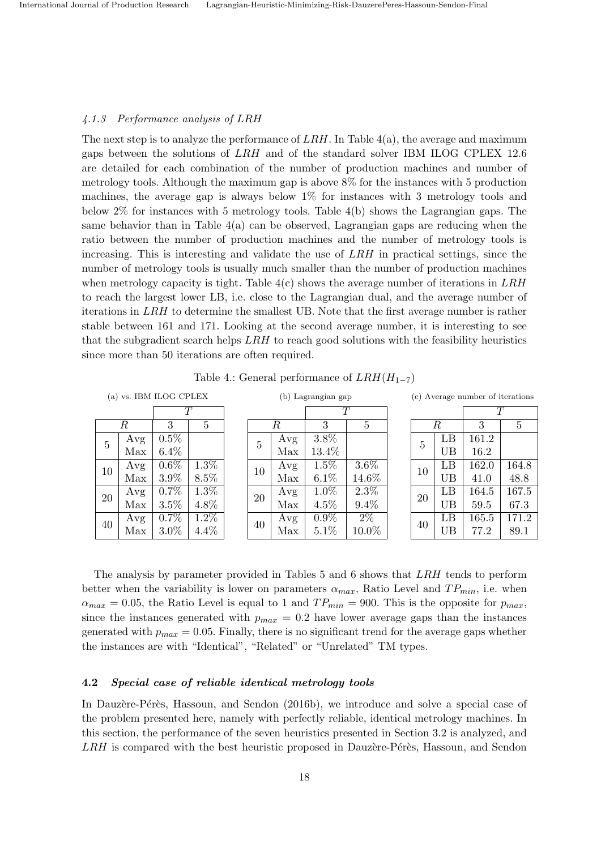## 4.1.3 Performance analysis of LRH

The next step is to analyze the performance of  $LRH$ . In Table  $4(a)$ , the average and maximum gaps between the solutions of LRH and of the standard solver IBM ILOG CPLEX 12.6 are detailed for each combination of the number of production machines and number of metrology tools. Although the maximum gap is above 8% for the instances with 5 production machines, the average gap is always below 1% for instances with 3 metrology tools and below 2% for instances with 5 metrology tools. Table 4(b) shows the Lagrangian gaps. The same behavior than in Table 4(a) can be observed, Lagrangian gaps are reducing when the ratio between the number of production machines and the number of metrology tools is increasing. This is interesting and validate the use of  $LRH$  in practical settings, since the number of metrology tools is usually much smaller than the number of production machines when metrology capacity is tight. Table  $4(c)$  shows the average number of iterations in LRH to reach the largest lower LB, i.e. close to the Lagrangian dual, and the average number of iterations in LRH to determine the smallest UB. Note that the first average number is rather stable between 161 and 171. Looking at the second average number, it is interesting to see that the subgradient search helps  $LRH$  to reach good solutions with the feasibility heuristics since more than 50 iterations are often required.

| (a) vs. IBM ILOG CPLEX |                  |         |         | (b) Lagrangian gap |     |         |                  |  | (c) Average number of iterations |    |       |       |  |
|------------------------|------------------|---------|---------|--------------------|-----|---------|------------------|--|----------------------------------|----|-------|-------|--|
| T                      |                  |         |         | T                  |     |         |                  |  | Т                                |    |       |       |  |
|                        | $\boldsymbol{R}$ | 3       | 5       |                    | R   | 3       | 5                |  |                                  | R  | 3     | 5     |  |
| $\overline{5}$         | Avg              | 0.5%    |         | 5                  | Avg | 3.8%    |                  |  | 5                                | LB | 161.2 |       |  |
|                        | Max              | $6.4\%$ |         |                    | Max | 13.4%   |                  |  |                                  | UB | 16.2  |       |  |
| 10                     | Avg              | $0.6\%$ | $1.3\%$ | 10                 | Avg | 1.5%    | $3.6\%$          |  | 10                               | LB | 162.0 | 164.8 |  |
|                        | Max              | 3.9%    | 8.5%    |                    | Max | 6.1%    | 14.6%            |  |                                  | UB | 41.0  | 48.8  |  |
| 20                     | Avg              | 0.7%    | $1.3\%$ | 20                 | Avg | 1.0%    | $2.3\%$          |  | 20                               | LB | 164.5 | 167.5 |  |
|                        | Max              | 3.5%    | 4.8%    |                    | Max | 4.5%    | $9.4\%$          |  |                                  | UB | 59.5  | 67.3  |  |
|                        | Avg              | 0.7%    | $1.2\%$ | 40                 | Avg | $0.9\%$ | $\overline{2\%}$ |  | 40                               | LB | 165.5 | 171.2 |  |
| 40                     | Max              | $3.0\%$ | 4.4%    |                    | Max | 5.1%    | 10.0%            |  |                                  | UB | 77.2  | 89.1  |  |

Table 4.: General performance of  $LRH(H_{1-7})$ 

The analysis by parameter provided in Tables 5 and 6 shows that LRH tends to perform better when the variability is lower on parameters  $\alpha_{max}$ , Ratio Level and  $TP_{min}$ , i.e. when  $\alpha_{max} = 0.05$ , the Ratio Level is equal to 1 and  $TP_{min} = 900$ . This is the opposite for  $p_{max}$ , since the instances generated with  $p_{max} = 0.2$  have lower average gaps than the instances generated with  $p_{max} = 0.05$ . Finally, there is no significant trend for the average gaps whether the instances are with "Identical", "Related" or "Unrelated" TM types.

### 4.2 Special case of reliable identical metrology tools

In Dauzère-Pérès, Hassoun, and Sendon (2016b), we introduce and solve a special case of the problem presented here, namely with perfectly reliable, identical metrology machines. In this section, the performance of the seven heuristics presented in Section 3.2 is analyzed, and  $LRH$  is compared with the best heuristic proposed in Dauzère-Pérès, Hassoun, and Sendon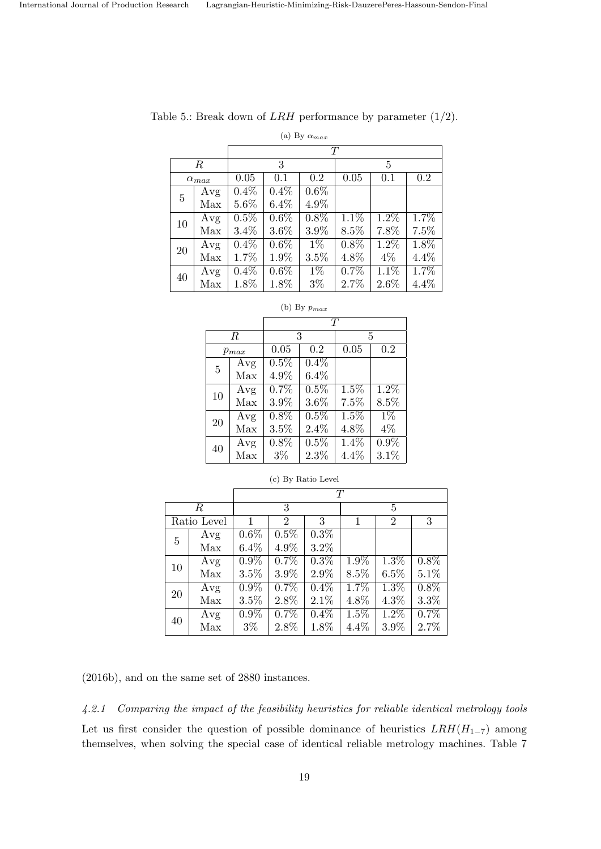| (a) By $\alpha_{max}$ |                |         |         |                  |         |         |         |  |  |  |
|-----------------------|----------------|---------|---------|------------------|---------|---------|---------|--|--|--|
|                       |                |         |         |                  | T       |         |         |  |  |  |
|                       | R.             |         | 3       |                  |         | 5       |         |  |  |  |
|                       | $\alpha_{max}$ | 0.05    | 0.1     | $0.2\,$          | 0.05    | 0.1     | 0.2     |  |  |  |
| $\overline{5}$        | Avg            | $0.4\%$ | $0.4\%$ | $0.6\%$          |         |         |         |  |  |  |
|                       | Max            | 5.6%    | $6.4\%$ | 4.9%             |         |         |         |  |  |  |
| 10                    | Avg            | $0.5\%$ | $0.6\%$ | $0.8\%$          | 1.1%    | $1.2\%$ | 1.7%    |  |  |  |
|                       | Max            | $3.4\%$ | $3.6\%$ | $3.9\%$          | 8.5%    | 7.8%    | 7.5%    |  |  |  |
| 20                    | Avg            | $0.4\%$ | $0.6\%$ | $\overline{1}\%$ | $0.8\%$ | $1.2\%$ | 1.8%    |  |  |  |
|                       | Max            | 1.7%    | 1.9%    | 3.5%             | 4.8%    | $4\%$   | $4.4\%$ |  |  |  |
| 40                    | Avg            | $0.4\%$ | $0.6\%$ | $1\%$            | 0.7%    | 1.1%    | $1.7\%$ |  |  |  |
|                       | Max            | 1.8%    | 1.8%    | $3\%$            | 2.7%    | 2.6%    | 4.4%    |  |  |  |

Table 5.: Break down of *LRH* performance by parameter  $(1/2)$ .

|  |  | (b) By $p_{max}$ |
|--|--|------------------|
|--|--|------------------|

|                |                  |         | T       |         |         |  |  |  |  |
|----------------|------------------|---------|---------|---------|---------|--|--|--|--|
|                | $\boldsymbol{R}$ |         | 3       | 5       |         |  |  |  |  |
|                | $p_{max}$        | 0.05    | 0.2     | 0.05    | 0.2     |  |  |  |  |
| $\overline{5}$ | Avg              | $0.5\%$ | $0.4\%$ |         |         |  |  |  |  |
|                | Max              | 4.9%    | $6.4\%$ |         |         |  |  |  |  |
| 10             | Avg              | 0.7%    | $0.5\%$ | 1.5%    | $1.2\%$ |  |  |  |  |
|                | Max              | 3.9%    | $3.6\%$ | 7.5%    | 8.5%    |  |  |  |  |
| 20             | Avg              | $0.8\%$ | $0.5\%$ | $1.5\%$ | $1\%$   |  |  |  |  |
|                | Max              | $3.5\%$ | 2.4%    | 4.8%    | $4\%$   |  |  |  |  |
| 40             | Avg              | $0.8\%$ | $0.5\%$ | 1.4%    | $0.9\%$ |  |  |  |  |
|                | Max              | $3\%$   | 2.3%    | 4.4%    | 3.1%    |  |  |  |  |

|    |             |              | T              |         |         |                |         |  |  |
|----|-------------|--------------|----------------|---------|---------|----------------|---------|--|--|
|    | R           |              | 3              |         | 5       |                |         |  |  |
|    | Ratio Level | $\mathbf{1}$ | $\overline{2}$ | 3       | 1       | $\overline{2}$ | 3       |  |  |
| 5  | Avg         | $0.6\%$      | $0.5\%$        | $0.3\%$ |         |                |         |  |  |
|    | Max         | $6.4\%$      | 4.9%           | 3.2%    |         |                |         |  |  |
| 10 | Avg         | $0.9\%$      | $0.7\%$        | $0.3\%$ | 1.9%    | 1.3%           | $0.8\%$ |  |  |
|    | Max         | 3.5%         | 3.9%           | 2.9%    | 8.5%    | 6.5%           | 5.1%    |  |  |
| 20 | Avg         | $0.9\%$      | 0.7%           | $0.4\%$ | 1.7%    | 1.3%           | $0.8\%$ |  |  |
|    | Max         | 3.5%         | 2.8%           | 2.1%    | 4.8%    | 4.3%           | $3.3\%$ |  |  |
| 40 | Avg         | $0.9\%$      | $0.7\%$        | $0.4\%$ | $1.5\%$ | 1.2%           | 0.7%    |  |  |
|    | Max         | $3\%$        | 2.8%           | 1.8%    | 4.4%    | 3.9%           | 2.7%    |  |  |

(c) By Ratio Level

(2016b), and on the same set of 2880 instances.

4.2.1 Comparing the impact of the feasibility heuristics for reliable identical metrology tools Let us first consider the question of possible dominance of heuristics  $LRH(H_{1-7})$  among themselves, when solving the special case of identical reliable metrology machines. Table 7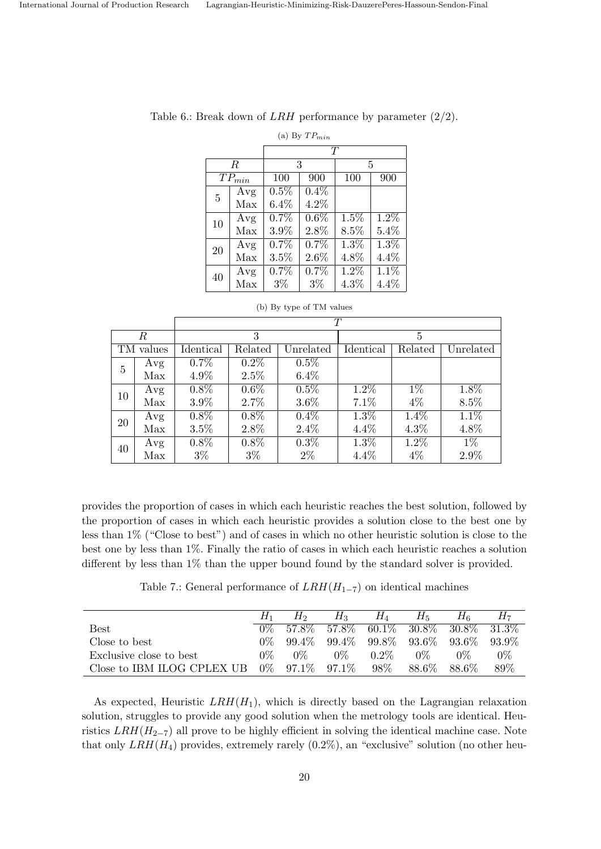|                |            |         | T       |                    |         |  |  |  |  |
|----------------|------------|---------|---------|--------------------|---------|--|--|--|--|
|                | R          |         | 3       | 5                  |         |  |  |  |  |
|                | $TP_{min}$ | 100     | 900     | 100                | 900     |  |  |  |  |
| $\overline{5}$ | Avg        | $0.5\%$ | $0.4\%$ |                    |         |  |  |  |  |
|                | Max        | $6.4\%$ | 4.2%    |                    |         |  |  |  |  |
| 10             | Avg        | 0.7%    | $0.6\%$ | 1.5%               | 1.2%    |  |  |  |  |
|                | Max        | 3.9%    | 2.8%    | 8.5%               | 5.4%    |  |  |  |  |
| 20             | Avg        | 0.7%    | 0.7%    | $1.\overline{3\%}$ | $1.3\%$ |  |  |  |  |
|                | Max        | $3.5\%$ | 2.6%    | 4.8%               | 4.4%    |  |  |  |  |
| 40             | Avg        | $0.7\%$ | $0.7\%$ | $1.2\%$            | 1.1%    |  |  |  |  |
|                | Max        | $3\%$   | $3\%$   | 4.3%               | 4.4%    |  |  |  |  |

| Table 6.: Break down of <i>LRH</i> performance by parameter $(2/2)$ . |                   |  |  |
|-----------------------------------------------------------------------|-------------------|--|--|
|                                                                       | (a) By $TP_{min}$ |  |  |

|    |           |           | 20 | Avg     | 0.170   | 0.170                    | 1.070     | 1.070   |         |           |  |
|----|-----------|-----------|----|---------|---------|--------------------------|-----------|---------|---------|-----------|--|
|    |           |           |    | Max     | $3.5\%$ | $2.6\%$                  | 4.8%      | $4.4\%$ |         |           |  |
|    |           |           | 40 | Avg     | $0.7\%$ | $0.7\%$                  | $1.2\%$   | $1.1\%$ |         |           |  |
|    |           |           |    | Max     | $3\%$   | $3\%$                    | $4.3\%$   | $4.4\%$ |         |           |  |
|    |           |           |    |         |         |                          |           |         |         |           |  |
|    |           |           |    |         |         | (b) By type of TM values |           |         |         |           |  |
|    |           |           |    |         |         |                          | T         |         |         |           |  |
| R  |           |           | 3  |         |         |                          |           | 5       |         |           |  |
|    | TM values | Identical |    | Related |         | Unrelated                | Identical |         | Related | Unrelated |  |
| 5  | Avg       | $0.7\%$   |    | $0.2\%$ |         | $0.5\%$                  |           |         |         |           |  |
|    | Max       | $4.9\%$   |    | $2.5\%$ |         | $6.4\%$                  |           |         |         |           |  |
| 10 | Avg       | $0.8\%$   |    | $0.6\%$ |         | $0.5\%$                  | 1.2%      |         | $1\%$   | 1.8%      |  |
|    | Max       | $3.9\%$   |    | $2.7\%$ |         | $3.6\%$                  | 7.1%      |         | $4\%$   | $8.5\%$   |  |

<sup>20</sup> Avg 0.8% 0.8% 0.4% 1.3% 1.4% 1.1% Max |  $3.5\%$  |  $2.8\%$  |  $2.4\%$  |  $4.4\%$  |  $4.3\%$  |  $4.8\%$ 

 $40$  Avg  $0.8\%$   $0.8\%$   $0.8\%$   $0.3\%$   $1.3\%$   $1.2\%$   $1.2\%$   $1\%$ Max |  $3\%$  |  $3\%$  |  $2\%$  |  $4.4\%$  |  $4\%$  |  $2.9\%$ 

provides the proportion of cases in which each heuristic reaches the best solution, followed by the proportion of cases in which each heuristic provides a solution close to the best one by less than 1% ("Close to best") and of cases in which no other heuristic solution is close to the best one by less than 1%. Finally the ratio of cases in which each heuristic reaches a solution different by less than 1% than the upper bound found by the standard solver is provided.

Table 7.: General performance of  $LRH(H_{1-7})$  on identical machines

|                                                |       | $H_2$                                                 | $H_3$ | $H_A$                                                 | $H_5$ | Ħв            | Hz    |
|------------------------------------------------|-------|-------------------------------------------------------|-------|-------------------------------------------------------|-------|---------------|-------|
| <b>Best</b>                                    |       | $57.8\%$ $57.8\%$ $60.1\%$ $30.8\%$ $30.8\%$ $31.3\%$ |       |                                                       |       |               |       |
| Close to best                                  |       |                                                       |       | $99.4\%$ $99.4\%$ $99.8\%$ $93.6\%$ $93.6\%$ $93.9\%$ |       |               |       |
| Exclusive close to best                        | $0\%$ | $0\%$                                                 | $0\%$ | $0.2\%$                                               | $0\%$ | $0\%$         | $0\%$ |
| Close to IBM ILOG CPLEX UB $0\%$ 97.1\% 97.1\% |       |                                                       |       | 98%                                                   |       | 88.6\% 88.6\% | 89\%  |

As expected, Heuristic  $LRH(H_1)$ , which is directly based on the Lagrangian relaxation solution, struggles to provide any good solution when the metrology tools are identical. Heuristics  $LRH(H_{2-7})$  all prove to be highly efficient in solving the identical machine case. Note that only  $LRH(H_4)$  provides, extremely rarely  $(0.2\%)$ , an "exclusive" solution (no other heu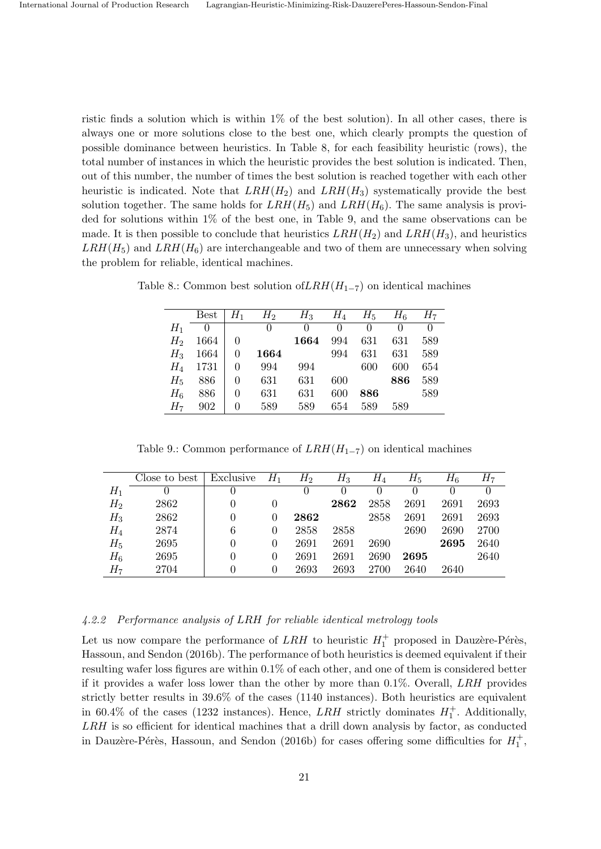ristic finds a solution which is within 1% of the best solution). In all other cases, there is always one or more solutions close to the best one, which clearly prompts the question of possible dominance between heuristics. In Table 8, for each feasibility heuristic (rows), the total number of instances in which the heuristic provides the best solution is indicated. Then, out of this number, the number of times the best solution is reached together with each other heuristic is indicated. Note that  $LRH(H_2)$  and  $LRH(H_3)$  systematically provide the best solution together. The same holds for  $LRH(H_5)$  and  $LRH(H_6)$ . The same analysis is provided for solutions within 1% of the best one, in Table 9, and the same observations can be made. It is then possible to conclude that heuristics  $LRH(H_2)$  and  $LRH(H_3)$ , and heuristics  $LRH(H_5)$  and  $LRH(H_6)$  are interchangeable and two of them are unnecessary when solving the problem for reliable, identical machines.

|       | Best | $H_{\rm 1}$    | $\,H_2$ | $H_3$ | $H_4$ | $H_5$ | $H_6$ | H7  |
|-------|------|----------------|---------|-------|-------|-------|-------|-----|
| $H_1$ |      |                | 0       | 0     |       |       |       |     |
| $H_2$ | 1664 | 0              |         | 1664  | 994   | 631   | 631   | 589 |
| $H_3$ | 1664 | 0              | 1664    |       | 994   | 631   | 631   | 589 |
| $H_4$ | 1731 | $\overline{0}$ | 994     | 994   |       | 600   | 600   | 654 |
| $H_5$ | 886  | 0              | 631     | 631   | 600   |       | 886   | 589 |
| $H_6$ | 886  | $\theta$       | 631     | 631   | 600   | 886   |       | 589 |
| $H_7$ | 902  | 0              | 589     | 589   | 654   | 589   | 589   |     |

Table 8.: Common best solution of  $LRH(H_{1-7})$  on identical machines

Table 9.: Common performance of  $LRH(H_{1-7})$  on identical machines

|       | Close to best | Exclusive | $H_1$ | $H_2$ | $H_3$ | $H_4$ | $H_5$ | $H_6$ | $H_7$ |
|-------|---------------|-----------|-------|-------|-------|-------|-------|-------|-------|
| $H_1$ |               |           |       |       |       |       |       |       |       |
| $H_2$ | 2862          |           |       |       | 2862  | 2858  | 2691  | 2691  | 2693  |
| $H_3$ | 2862          |           | 0     | 2862  |       | 2858  | 2691  | 2691  | 2693  |
| $H_4$ | 2874          | 6         | 0     | 2858  | 2858  |       | 2690  | 2690  | 2700  |
| $H_5$ | 2695          |           | 0     | 2691  | 2691  | 2690  |       | 2695  | 2640  |
| $H_6$ | 2695          |           | 0     | 2691  | 2691  | 2690  | 2695  |       | 2640  |
| $H_7$ | 2704          |           | 0     | 2693  | 2693  | 2700  | 2640  | 2640  |       |
|       |               |           |       |       |       |       |       |       |       |

#### 4.2.2 Performance analysis of LRH for reliable identical metrology tools

Let us now compare the performance of  $LRH$  to heuristic  $H_1^+$  proposed in Dauzère-Pérès, Hassoun, and Sendon (2016b). The performance of both heuristics is deemed equivalent if their resulting wafer loss figures are within 0.1% of each other, and one of them is considered better if it provides a wafer loss lower than the other by more than 0.1%. Overall, LRH provides strictly better results in 39.6% of the cases (1140 instances). Both heuristics are equivalent in 60.4% of the cases (1232 instances). Hence,  $LRH$  strictly dominates  $H_1^+$ . Additionally, LRH is so efficient for identical machines that a drill down analysis by factor, as conducted in Dauzère-Pérès, Hassoun, and Sendon (2016b) for cases offering some difficulties for  $H_1^+$ ,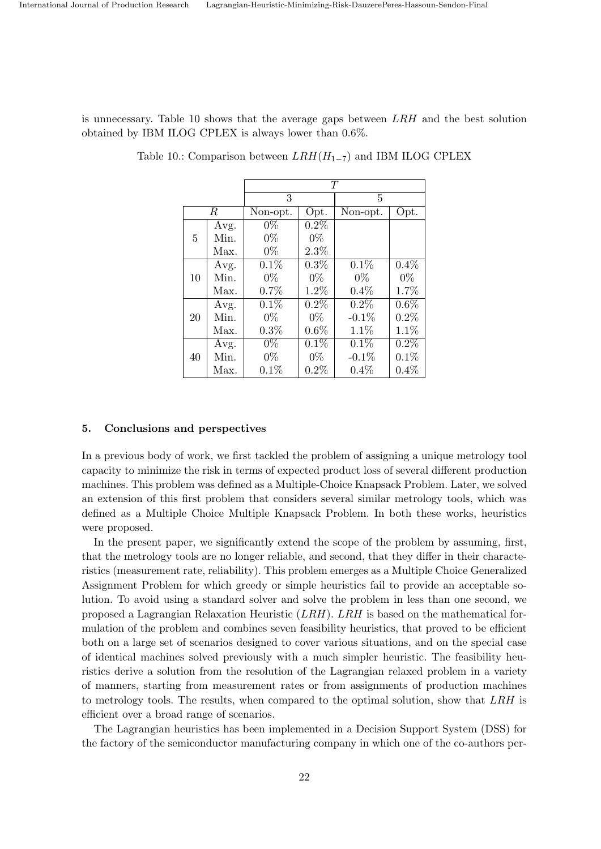is unnecessary. Table 10 shows that the average gaps between  $LRH$  and the best solution obtained by IBM ILOG CPLEX is always lower than 0.6%.

|    |      | T        |         |          |         |  |  |  |  |  |
|----|------|----------|---------|----------|---------|--|--|--|--|--|
|    |      | 3        |         | 5        |         |  |  |  |  |  |
| R  |      | Non-opt. | Opt.    | Non-opt. | Opt.    |  |  |  |  |  |
|    | Avg. | $0\%$    | 0.2%    |          |         |  |  |  |  |  |
| 5  | Min. | $0\%$    | $0\%$   |          |         |  |  |  |  |  |
|    | Max. | $0\%$    | 2.3%    |          |         |  |  |  |  |  |
|    | Avg. | 0.1%     | $0.3\%$ | 0.1%     | $0.4\%$ |  |  |  |  |  |
| 10 | Min. | $0\%$    | $0\%$   | $0\%$    | $0\%$   |  |  |  |  |  |
|    | Max. | 0.7%     | 1.2%    | 0.4%     | 1.7%    |  |  |  |  |  |
|    | Avg. | $0.1\%$  | 0.2%    | 0.2%     | $0.6\%$ |  |  |  |  |  |
| 20 | Min. | $0\%$    | $0\%$   | $-0.1\%$ | 0.2%    |  |  |  |  |  |
|    | Max. | $0.3\%$  | $0.6\%$ | 1.1%     | 1.1%    |  |  |  |  |  |
|    | Avg. | $0\%$    | 0.1%    | 0.1%     | 0.2%    |  |  |  |  |  |
| 40 | Min. | $0\%$    | $0\%$   | $-0.1\%$ | 0.1%    |  |  |  |  |  |
|    | Max. | 0.1%     | 0.2%    | 0.4%     | 0.4%    |  |  |  |  |  |

Table 10.: Comparison between  $LRH(H_{1-7})$  and IBM ILOG CPLEX

### 5. Conclusions and perspectives

In a previous body of work, we first tackled the problem of assigning a unique metrology tool capacity to minimize the risk in terms of expected product loss of several different production machines. This problem was defined as a Multiple-Choice Knapsack Problem. Later, we solved an extension of this first problem that considers several similar metrology tools, which was defined as a Multiple Choice Multiple Knapsack Problem. In both these works, heuristics were proposed.

In the present paper, we significantly extend the scope of the problem by assuming, first, that the metrology tools are no longer reliable, and second, that they differ in their characteristics (measurement rate, reliability). This problem emerges as a Multiple Choice Generalized Assignment Problem for which greedy or simple heuristics fail to provide an acceptable solution. To avoid using a standard solver and solve the problem in less than one second, we proposed a Lagrangian Relaxation Heuristic  $(LRH)$ . LRH is based on the mathematical formulation of the problem and combines seven feasibility heuristics, that proved to be efficient both on a large set of scenarios designed to cover various situations, and on the special case of identical machines solved previously with a much simpler heuristic. The feasibility heuristics derive a solution from the resolution of the Lagrangian relaxed problem in a variety of manners, starting from measurement rates or from assignments of production machines to metrology tools. The results, when compared to the optimal solution, show that LRH is efficient over a broad range of scenarios.

The Lagrangian heuristics has been implemented in a Decision Support System (DSS) for the factory of the semiconductor manufacturing company in which one of the co-authors per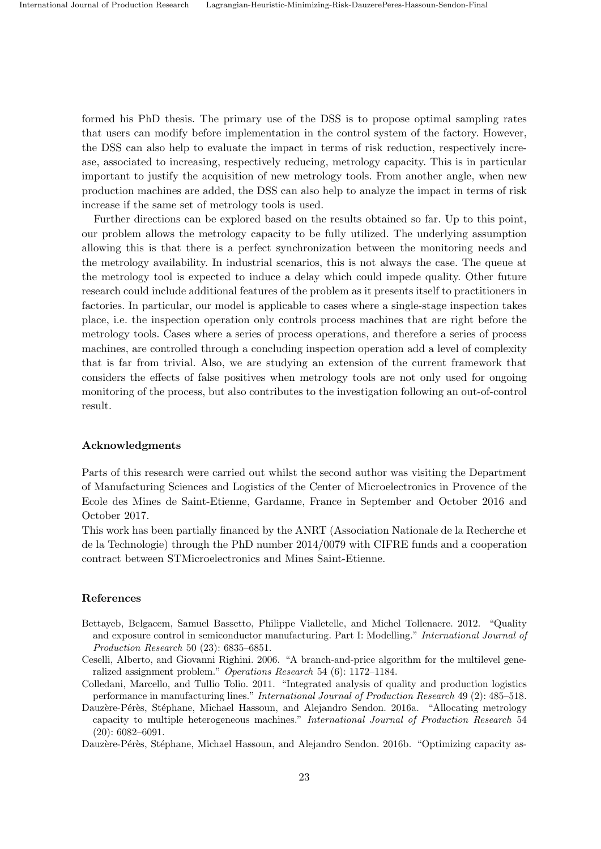formed his PhD thesis. The primary use of the DSS is to propose optimal sampling rates that users can modify before implementation in the control system of the factory. However, the DSS can also help to evaluate the impact in terms of risk reduction, respectively increase, associated to increasing, respectively reducing, metrology capacity. This is in particular important to justify the acquisition of new metrology tools. From another angle, when new production machines are added, the DSS can also help to analyze the impact in terms of risk increase if the same set of metrology tools is used.

Further directions can be explored based on the results obtained so far. Up to this point, our problem allows the metrology capacity to be fully utilized. The underlying assumption allowing this is that there is a perfect synchronization between the monitoring needs and the metrology availability. In industrial scenarios, this is not always the case. The queue at the metrology tool is expected to induce a delay which could impede quality. Other future research could include additional features of the problem as it presents itself to practitioners in factories. In particular, our model is applicable to cases where a single-stage inspection takes place, i.e. the inspection operation only controls process machines that are right before the metrology tools. Cases where a series of process operations, and therefore a series of process machines, are controlled through a concluding inspection operation add a level of complexity that is far from trivial. Also, we are studying an extension of the current framework that considers the effects of false positives when metrology tools are not only used for ongoing monitoring of the process, but also contributes to the investigation following an out-of-control result.

### Acknowledgments

Parts of this research were carried out whilst the second author was visiting the Department of Manufacturing Sciences and Logistics of the Center of Microelectronics in Provence of the Ecole des Mines de Saint-Etienne, Gardanne, France in September and October 2016 and October 2017.

This work has been partially financed by the ANRT (Association Nationale de la Recherche et de la Technologie) through the PhD number 2014/0079 with CIFRE funds and a cooperation contract between STMicroelectronics and Mines Saint-Etienne.

#### References

- Bettayeb, Belgacem, Samuel Bassetto, Philippe Vialletelle, and Michel Tollenaere. 2012. "Quality and exposure control in semiconductor manufacturing. Part I: Modelling." International Journal of Production Research 50 (23): 6835–6851.
- Ceselli, Alberto, and Giovanni Righini. 2006. "A branch-and-price algorithm for the multilevel generalized assignment problem." Operations Research 54 (6): 1172–1184.
- Colledani, Marcello, and Tullio Tolio. 2011. "Integrated analysis of quality and production logistics performance in manufacturing lines." International Journal of Production Research 49 (2): 485–518.
- Dauzère-Pérès, Stéphane, Michael Hassoun, and Alejandro Sendon. 2016a. "Allocating metrology capacity to multiple heterogeneous machines." International Journal of Production Research 54 (20): 6082–6091.

Dauzère-Pérès, Stéphane, Michael Hassoun, and Alejandro Sendon. 2016b. "Optimizing capacity as-